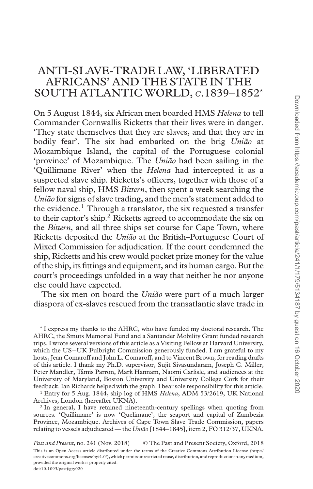## ANTI-SLAVE-TRADE LAW, 'LIBERATED AFRICANS' AND THE STATE IN THE SOUTH ATLANTIC WORLD, c.1839-1852\*

On 5 August 1844, six African men boarded HMS Helena to tell Commander Cornwallis Ricketts that their lives were in danger. 'They state themselves that they are slaves, and that they are in bodily fear'. The six had embarked on the brig União at Mozambique Island, the capital of the Portuguese colonial 'province' of Mozambique. The  $Uni\tilde{a}o$  had been sailing in the 'Quillimane River' when the Helena had intercepted it as a suspected slave ship. Ricketts's officers, together with those of a fellow naval ship, HMS Bittern, then spent a week searching the União for signs of slave trading, and the men's statement added to the evidence.<sup>1</sup> Through a translator, the six requested a transfer to their captor's ship.<sup>2</sup> Ricketts agreed to accommodate the six on the *Bittern*, and all three ships set course for Cape Town, where Ricketts deposited the União at the British–Portuguese Court of Mixed Commission for adjudication. If the court condemned the ship, Ricketts and his crew would pocket prize money for the value of the ship, its fittings and equipment, and its human cargo. But the court's proceedings unfolded in a way that neither he nor anyone else could have expected.

The six men on board the União were part of a much larger diaspora of ex-slaves rescued from the transatlantic slave trade in

\* I express my thanks to the AHRC, who have funded my doctoral research. The AHRC, the Smuts Memorial Fund and a Santander Mobility Grant funded research trips. I wrote several versions of this article as a Visiting Fellow at Harvard University, which the US-UK Fulbright Commission generously funded. I am grateful to my hosts, Jean Comaroff and John L. Comaroff, and to Vincent Brown, for reading drafts of this article. I thank my Ph.D. supervisor, Sujit Sivasundaram, Joseph C. Miller, Peter Mandler, Tâmis Parron, Mark Hannam, Naomi Carlisle, and audiences at the University of Maryland, Boston University and University College Cork for their feedback. Ian Richards helped with the graph. I bear sole responsibility for this article.

<sup>1</sup> Entry for 5 Aug. 1844, ship log of HMS Helena, ADM 53/2619, UK National Archives, London (hereafter UKNA).

2 In general, I have retained nineteenth-century spellings when quoting from sources. 'Quillimane' is now 'Quelimane', the seaport and capital of Zambezia Province, Mozambique. Archives of Cape Town Slave Trade Commission, papers relating to vessels adjudicated — the União [1844-1845], item 2, FO 312/37, UKNA.

Past and Present, no. 241 (Nov. 2018) The Past and Present Society, Oxford, 2018 This is an Open Access article distributed under the terms of the Creative Commons Attribution License (http:// creativecommons.org/licenses/by/4.0/),which permitsunrestricted reuse, distribution,and reproduction in any medium, provided the original work is properly cited. doi:10.1093/pastj/gty020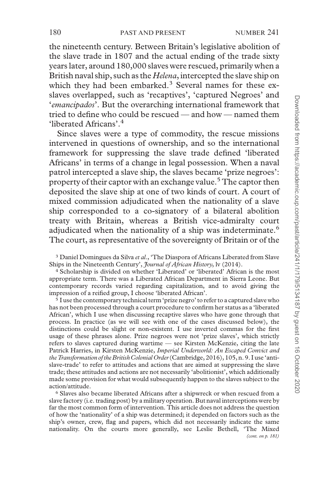the nineteenth century. Between Britain's legislative abolition of the slave trade in 1807 and the actual ending of the trade sixty years later, around 180,000 slaves were rescued, primarily when a British naval ship, such as the *Helena*, intercepted the slave ship on which they had been embarked.<sup>3</sup> Several names for these exslaves overlapped, such as 'recaptives', 'captured Negroes' and 'emancipados'. But the overarching international framework that tried to define who could be rescued — and how — named them 'liberated Africans'.<sup>4</sup>

Since slaves were a type of commodity, the rescue missions intervened in questions of ownership, and so the international framework for suppressing the slave trade defined 'liberated Africans' in terms of a change in legal possession. When a naval patrol intercepted a slave ship, the slaves became 'prize negroes': property of their captor with an exchange value.<sup>5</sup> The captor then deposited the slave ship at one of two kinds of court. A court of mixed commission adjudicated when the nationality of a slave ship corresponded to a co-signatory of a bilateral abolition treaty with Britain, whereas a British vice-admiralty court adjudicated when the nationality of a ship was indeterminate.<sup>6</sup> The court, as representative of the sovereignty of Britain or of the

<sup>3</sup> Daniel Domingues da Silva et al., 'The Diaspora of Africans Liberated from Slave Ships in the Nineteenth Century', Journal of African History, lv (2014).

4 Scholarship is divided on whether 'Liberated' or 'liberated' African is the most appropriate term. There was a Liberated African Department in Sierra Leone. But contemporary records varied regarding capitalization, and to avoid giving the impression of a reified group, I choose 'liberated African'.

5 I use the contemporary technical term 'prize negro' to refer to a captured slave who has not been processed through a court procedure to confirm her status as a 'liberated African', which I use when discussing recaptive slaves who have gone through that process. In practice (as we will see with one of the cases discussed below), the distinctions could be slight or non-existent. I use inverted commas for the first usage of these phrases alone. Prize negroes were not 'prize slaves', which strictly refers to slaves captured during wartime — see Kirsten McKenzie, citing the late Patrick Harries, in Kirsten McKenzie, Imperial Underworld: An Escaped Convict and the Transformation of the British Colonial Order (Cambridge, 2016), 105, n. 9. I use 'antislave-trade' to refer to attitudes and actions that are aimed at suppressing the slave trade; these attitudes and actions are not necessarily 'abolitionist', which additionally made some provision for what would subsequently happen to the slaves subject to the action/attitude.

6 Slaves also became liberated Africans after a shipwreck or when rescued from a slave factory (i.e. trading post) by a military operation. But naval interceptions were by far the most common form of intervention. This article does not address the question of how the 'nationality' of a ship was determined; it depended on factors such as the ship's owner, crew, flag and papers, which did not necessarily indicate the same nationality. On the courts more generally, see Leslie Bethell, 'The Mixed (cont. on p. 181)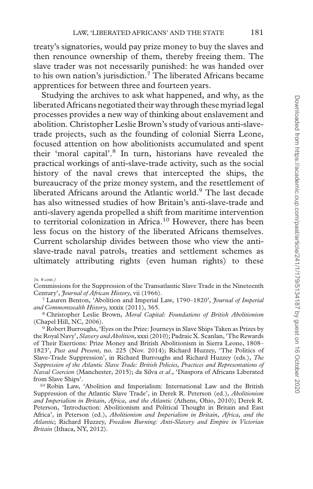treaty's signatories, would pay prize money to buy the slaves and then renounce ownership of them, thereby freeing them. The slave trader was not necessarily punished: he was handed over to his own nation's jurisdiction.<sup>7</sup> The liberated Africans became apprentices for between three and fourteen years.

Studying the archives to ask what happened, and why, as the liberated Africans negotiated their waythrough these myriad legal processes provides a new way of thinking about enslavement and abolition. Christopher Leslie Brown's study of various anti-slavetrade projects, such as the founding of colonial Sierra Leone, focused attention on how abolitionists accumulated and spent their 'moral capital'.<sup>8</sup> In turn, historians have revealed the practical workings of anti-slave-trade activity, such as the social history of the naval crews that intercepted the ships, the bureaucracy of the prize money system, and the resettlement of liberated Africans around the Atlantic world.<sup>9</sup> The last decade has also witnessed studies of how Britain's anti-slave-trade and anti-slavery agenda propelled a shift from maritime intervention to territorial colonization in Africa.<sup>10</sup> However, there has been less focus on the history of the liberated Africans themselves. Current scholarship divides between those who view the antislave-trade naval patrols, treaties and settlement schemes as ultimately attributing rights (even human rights) to these

Commissions for the Suppression of the Transatlantic Slave Trade in the Nineteenth Century', *Journal of African History*, vii (1966).

<sup>7</sup> Lauren Benton, 'Abolition and Imperial Law, 1790-1820', Journal of Imperial and Commonwealth History, xxxix (2011), 365.

8 Christopher Leslie Brown, Moral Capital: Foundations of British Abolitionism (Chapel Hill, NC, 2006).

9 Robert Burroughs, 'Eyes on the Prize: Journeys in Slave Ships Taken as Prizes by the Royal Navy', Slavery and Abolition, xxxi (2010); Padraic X. Scanlan, 'The Rewards of Their Exertions: Prize Money and British Abolitionism in Sierra Leone, 1808– 1823', Past and Present, no. 225 (Nov. 2014); Richard Huzzey, 'The Politics of Slave-Trade Suppression', in Richard Burroughs and Richard Huzzey (eds.), The Suppression of the Atlantic Slave Trade: British Policies, Practices and Representations of Naval Coercion (Manchester, 2015); da Silva et al., 'Diaspora of Africans Liberated from Slave Ships'.

10 Robin Law, 'Abolition and Imperialism: International Law and the British Suppression of the Atlantic Slave Trade', in Derek R. Peterson (ed.), Abolitionism and Imperialism in Britain, Africa, and the Atlantic (Athens, Ohio, 2010); Derek R. Peterson, 'Introduction: Abolitionism and Political Thought in Britain and East Africa', in Peterson (ed.), Abolitionism and Imperialism in Britain, Africa, and the Atlantic; Richard Huzzey, Freedom Burning: Anti-Slavery and Empire in Victorian Britain (Ithaca, NY, 2012).

<sup>(</sup>n. 6 cont.)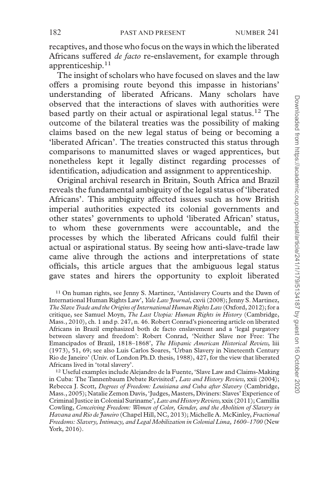recaptives, and those who focus on the ways in which the liberated Africans suffered *de facto* re-enslavement, for example through apprenticeship.<sup>11</sup>

The insight of scholars who have focused on slaves and the law offers a promising route beyond this impasse in historians' understanding of liberated Africans. Many scholars have observed that the interactions of slaves with authorities were based partly on their actual or aspirational legal status.<sup>12</sup> The outcome of the bilateral treaties was the possibility of making claims based on the new legal status of being or becoming a 'liberated African'. The treaties constructed this status through comparisons to manumitted slaves or waged apprentices, but nonetheless kept it legally distinct regarding processes of identification, adjudication and assignment to apprenticeship.

Original archival research in Britain, South Africa and Brazil reveals the fundamental ambiguity of the legal status of 'liberated Africans'. This ambiguity affected issues such as how British imperial authorities expected its colonial governments and other states' governments to uphold 'liberated African' status, to whom these governments were accountable, and the processes by which the liberated Africans could fulfil their actual or aspirational status. By seeing how anti-slave-trade law came alive through the actions and interpretations of state officials, this article argues that the ambiguous legal status gave states and hirers the opportunity to exploit liberated

<sup>12</sup> Useful examples include Alejandro de la Fuente, 'Slave Law and Claims-Making in Cuba: The Tannenbaum Debate Revisited', Law and History Review, xxii (2004); Rebecca J. Scott, Degrees of Freedom: Louisiana and Cuba after Slavery (Cambridge, Mass., 2005); Natalie Zemon Davis, 'Judges, Masters, Diviners: Slaves' Experience of Criminal Justice in Colonial Suriname', Law and History Review, xxix (2011); Camillia Cowling, Conceiving Freedom: Women of Color, Gender, and the Abolition of Slavery in Havana and Rio de Janeiro (Chapel Hill, NC, 2013); Michelle A. McKinley, Fractional Freedoms: Slavery, Intimacy, and Legal Mobilization in Colonial Lima, 1600–1700 (New York, 2016).

<sup>11</sup> On human rights, see Jenny S. Martinez, 'Antislavery Courts and the Dawn of International Human Rights Law', Yale Law Journal, cxvii (2008); Jenny S. Martinez, The Slave Trade and the Origins of International Human Rights Law(Oxford, 2012); for a critique, see Samuel Moyn, The Last Utopia: Human Rights in History (Cambridge, Mass., 2010), ch. 1 and p. 247, n. 46. Robert Conrad's pioneering article on liberated Africans in Brazil emphasized both de facto enslavement and a 'legal purgatory between slavery and freedom': Robert Conrad, 'Neither Slave nor Free: The Emancipados of Brazil, 1818–1868', The Hispanic American Historical Review, liii (1973), 51, 69; see also Luis Carlos Soares, 'Urban Slavery in Nineteenth Century Rio de Janeiro' (Univ. of London Ph.D. thesis, 1988), 427, for the view that liberated Africans lived in 'total slavery'.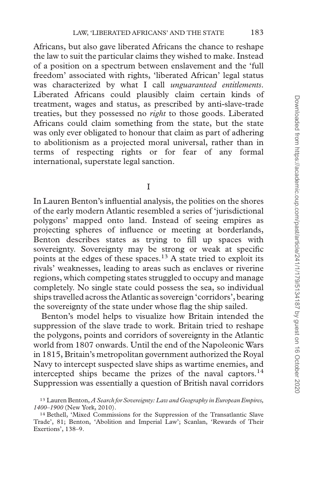Africans, but also gave liberated Africans the chance to reshape the law to suit the particular claims they wished to make. Instead of a position on a spectrum between enslavement and the 'full freedom' associated with rights, 'liberated African' legal status was characterized by what I call *unguaranteed entitlements*. Liberated Africans could plausibly claim certain kinds of treatment, wages and status, as prescribed by anti-slave-trade treaties, but they possessed no right to those goods. Liberated Africans could claim something from the state, but the state was only ever obligated to honour that claim as part of adhering to abolitionism as a projected moral universal, rather than in terms of respecting rights or for fear of any formal international, superstate legal sanction.

I

In Lauren Benton's influential analysis, the polities on the shores of the early modern Atlantic resembled a series of 'jurisdictional polygons' mapped onto land. Instead of seeing empires as projecting spheres of influence or meeting at borderlands, Benton describes states as trying to fill up spaces with sovereignty. Sovereignty may be strong or weak at specific points at the edges of these spaces.<sup>13</sup> A state tried to exploit its rivals' weaknesses, leading to areas such as enclaves or riverine regions, which competing states struggled to occupy and manage completely. No single state could possess the sea, so individual ships travelled across the Atlantic as sovereign 'corridors', bearing the sovereignty of the state under whose flag the ship sailed.

Benton's model helps to visualize how Britain intended the suppression of the slave trade to work. Britain tried to reshape the polygons, points and corridors of sovereignty in the Atlantic world from 1807 onwards. Until the end of the Napoleonic Wars in 1815, Britain's metropolitan government authorized the Royal Navy to intercept suspected slave ships as wartime enemies, and intercepted ships became the prizes of the naval captors.<sup>14</sup> Suppression was essentially a question of British naval corridors

<sup>&</sup>lt;sup>13</sup> Lauren Benton, A Search for Sovereignty: Law and Geography in European Empires, 1400–1900 (New York, 2010).

<sup>14</sup> Bethell, 'Mixed Commissions for the Suppression of the Transatlantic Slave Trade', 81; Benton, 'Abolition and Imperial Law'; Scanlan, 'Rewards of Their Exertions', 138–9.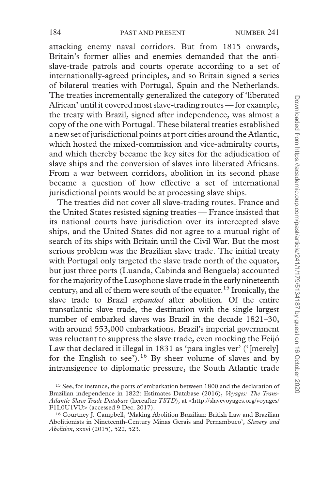attacking enemy naval corridors. But from 1815 onwards, Britain's former allies and enemies demanded that the antislave-trade patrols and courts operate according to a set of internationally-agreed principles, and so Britain signed a series of bilateral treaties with Portugal, Spain and the Netherlands. The treaties incrementally generalized the category of 'liberated African' until it covered most slave-trading routes — for example, the treaty with Brazil, signed after independence, was almost a copy of the one with Portugal. These bilateral treaties established a new set of jurisdictional points at port cities around the Atlantic, which hosted the mixed-commission and vice-admiralty courts, and which thereby became the key sites for the adjudication of slave ships and the conversion of slaves into liberated Africans. From a war between corridors, abolition in its second phase became a question of how effective a set of international jurisdictional points would be at processing slave ships.

The treaties did not cover all slave-trading routes. France and the United States resisted signing treaties — France insisted that its national courts have jurisdiction over its intercepted slave ships, and the United States did not agree to a mutual right of search of its ships with Britain until the Civil War. But the most serious problem was the Brazilian slave trade. The initial treaty with Portugal only targeted the slave trade north of the equator, but just three ports (Luanda, Cabinda and Benguela) accounted for the majorityof the Lusophone slave trade in the early nineteenth century, and all of them were south of the equator.<sup>15</sup> Ironically, the slave trade to Brazil expanded after abolition. Of the entire transatlantic slave trade, the destination with the single largest number of embarked slaves was Brazil in the decade 1821–30, with around 553,000 embarkations. Brazil's imperial government was reluctant to suppress the slave trade, even mocking the Feijo´ Law that declared it illegal in 1831 as 'para ingles ver' ('[merely] for the English to see').<sup>16</sup> By sheer volume of slaves and by intransigence to diplomatic pressure, the South Atlantic trade

<sup>&</sup>lt;sup>15</sup> See, for instance, the ports of embarkation between 1800 and the declaration of Brazilian independence in 1822: Estimates Database (2016), Voyages: The Trans-Atlantic Slave Trade Database (hereafter TSTD), at <http://slavevoyages.org/voyages/ F1L0U1VU> (accessed 9 Dec. 2017).

<sup>16</sup> Courtney J. Campbell, 'Making Abolition Brazilian: British Law and Brazilian Abolitionists in Nineteenth-Century Minas Gerais and Pernambuco', Slavery and Abolition, xxxvi (2015), 522, 523.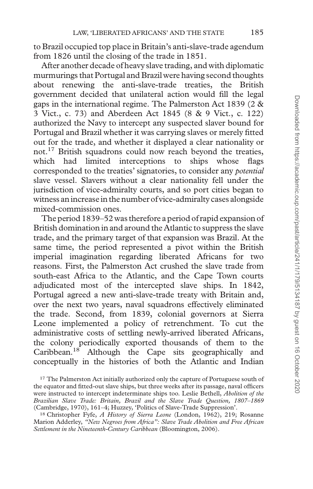to Brazil occupied top place in Britain's anti-slave-trade agendum from 1826 until the closing of the trade in 1851.

After another decade of heavy slave trading, and with diplomatic murmurings that Portugal and Brazil were having second thoughts about renewing the anti-slave-trade treaties, the British government decided that unilateral action would fill the legal gaps in the international regime. The Palmerston Act 1839 (2 & 3 Vict., c. 73) and Aberdeen Act 1845 (8 & 9 Vict., c. 122) authorized the Navy to intercept any suspected slaver bound for Portugal and Brazil whether it was carrying slaves or merely fitted out for the trade, and whether it displayed a clear nationality or not.<sup>17</sup> British squadrons could now reach beyond the treaties, which had limited interceptions to ships whose flags corresponded to the treaties' signatories, to consider any potential slave vessel. Slavers without a clear nationality fell under the jurisdiction of vice-admiralty courts, and so port cities began to witness an increase in the number of vice-admiralty cases alongside mixed-commission ones.

The period 1839–52 was therefore a period of rapid expansion of British domination in and around the Atlantic to suppress the slave trade, and the primary target of that expansion was Brazil. At the same time, the period represented a pivot within the British imperial imagination regarding liberated Africans for two reasons. First, the Palmerston Act crushed the slave trade from south-east Africa to the Atlantic, and the Cape Town courts adjudicated most of the intercepted slave ships. In 1842, Portugal agreed a new anti-slave-trade treaty with Britain and, over the next two years, naval squadrons effectively eliminated the trade. Second, from 1839, colonial governors at Sierra Leone implemented a policy of retrenchment. To cut the administrative costs of settling newly-arrived liberated Africans, the colony periodically exported thousands of them to the Caribbean.18 Although the Cape sits geographically and conceptually in the histories of both the Atlantic and Indian

<sup>&</sup>lt;sup>17</sup> The Palmerston Act initially authorized only the capture of Portuguese south of the equator and fitted-out slave ships, but three weeks after its passage, naval officers were instructed to intercept indeterminate ships too. Leslie Bethell, Abolition of the Brazilian Slave Trade: Britain, Brazil and the Slave Trade Question, 1807–1869 (Cambridge, 1970), 161–4; Huzzey, 'Politics of Slave-Trade Suppression'.

<sup>&</sup>lt;sup>18</sup> Christopher Fyfe, A History of Sierra Leone (London, 1962), 219; Rosanne Marion Adderley, ''New Negroes from Africa'': Slave Trade Abolition and Free African Settlement in the Nineteenth-Century Caribbean (Bloomington, 2006).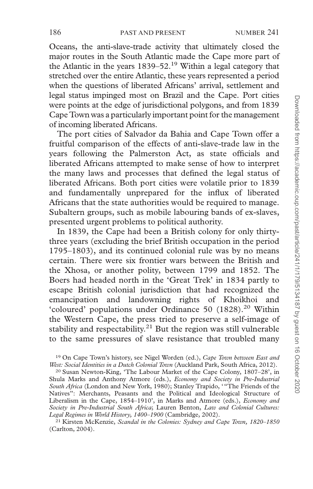Oceans, the anti-slave-trade activity that ultimately closed the major routes in the South Atlantic made the Cape more part of the Atlantic in the years 1839–52.19 Within a legal category that stretched over the entire Atlantic, these years represented a period when the questions of liberated Africans' arrival, settlement and legal status impinged most on Brazil and the Cape. Port cities were points at the edge of jurisdictional polygons, and from 1839 Cape Town was a particularly important point for the management of incoming liberated Africans.

The port cities of Salvador da Bahia and Cape Town offer a fruitful comparison of the effects of anti-slave-trade law in the years following the Palmerston Act, as state officials and liberated Africans attempted to make sense of how to interpret the many laws and processes that defined the legal status of liberated Africans. Both port cities were volatile prior to 1839 and fundamentally unprepared for the influx of liberated Africans that the state authorities would be required to manage. Subaltern groups, such as mobile labouring bands of ex-slaves, presented urgent problems to political authority.

In 1839, the Cape had been a British colony for only thirtythree years (excluding the brief British occupation in the period 1795–1803), and its continued colonial rule was by no means certain. There were six frontier wars between the British and the Xhosa, or another polity, between 1799 and 1852. The Boers had headed north in the 'Great Trek' in 1834 partly to escape British colonial jurisdiction that had recognized the emancipation and landowning rights of Khoikhoi and 'coloured' populations under Ordinance 50  $(1828).^{20}$  Within the Western Cape, the press tried to preserve a self-image of stability and respectability.<sup>21</sup> But the region was still vulnerable to the same pressures of slave resistance that troubled many

19 On Cape Town's history, see Nigel Worden (ed.), Cape Town between East and West: Social Identities in a Dutch Colonial Town (Auckland Park, South Africa, 2012).

20 Susan Newton-King, 'The Labour Market of the Cape Colony, 1807–28', in Shula Marks and Anthony Atmore (eds.), Economy and Society in Pre-Industrial South Africa (London and New York, 1980); Stanley Trapido, "The Friends of the Natives'': Merchants, Peasants and the Political and Ideological Structure of Liberalism in the Cape, 1854-1910', in Marks and Atmore (eds.), Economy and Society in Pre-Industrial South Africa; Lauren Benton, Law and Colonial Cultures: Legal Regimes in World History, 1400–1900 (Cambridge, 2002).

21 Kirsten McKenzie, Scandal in the Colonies: Sydney and Cape Town, 1820–1850 (Carlton, 2004).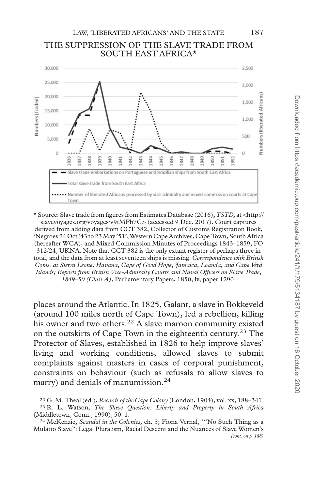

THE SUPPRESSION OF THE SLAVE TRADE FROM SOUTH EAST AFRICA\*

\* Source: Slave trade from figures from Estimates Database (2016),  $TSTD$ , at <http:// slavevoyages.org/voyages/v9tMFb7C> (accessed 9 Dec. 2017). Court captures derived from adding data from CCT 382, Collector of Customs Registration Book, 'Negroes 24 Oct '43 to 23 May '51', Western Cape Archives, Cape Town, South Africa (hereafter WCA), and Mixed Commission Minutes of Proceedings 1843–1859, FO 312/24, UKNA. Note that CCT 382 is the only extant register of perhaps three in total, and the data from at least seventeen ships is missing. Correspondence with British Coms. at Sierra Leone, Havana, Cape of Good Hope, Jamaica, Loanda, and Cape Verd Islands; Reports from British Vice-Admiralty Courts and Naval Officers on Slave Trade, 1849–50 (Class A), Parliamentary Papers, 1850, ly, paper 1290.

places around the Atlantic. In 1825, Galant, a slave in Bokkeveld (around 100 miles north of Cape Town), led a rebellion, killing his owner and two others.<sup>22</sup> A slave maroon community existed on the outskirts of Cape Town in the eighteenth century.<sup>23</sup> The Protector of Slaves, established in 1826 to help improve slaves' living and working conditions, allowed slaves to submit complaints against masters in cases of corporal punishment, constraints on behaviour (such as refusals to allow slaves to marry) and denials of manumission.<sup>24</sup>

 $22$  G. M. Theal (ed.), *Records of the Cape Colony* (London, 1904), vol. xx, 188–341.

<sup>23</sup> R. L. Watson, The Slave Question: Liberty and Property in South Africa (Middletown, Conn., 1990), 50–1.

<sup>&</sup>lt;sup>24</sup> McKenzie, *Scandal in the Colonies*, ch. 5; Fiona Vernal, "No Such Thing as a Mulatto Slave'': Legal Pluralism, Racial Descent and the Nuances of Slave Women's (cont. on p. 188)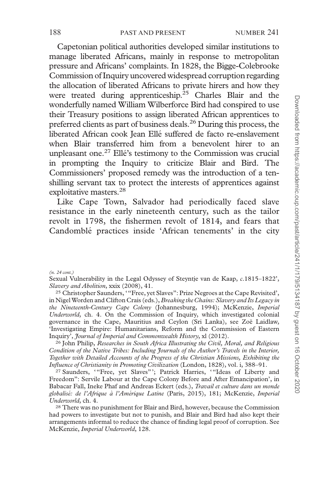Capetonian political authorities developed similar institutions to manage liberated Africans, mainly in response to metropolitan pressure and Africans' complaints. In 1828, the Bigge-Colebrooke Commission of Inquiry uncovered widespread corruption regarding the allocation of liberated Africans to private hirers and how they were treated during apprenticeship.<sup>25</sup> Charles Blair and the wonderfully named William Wilberforce Bird had conspired to use their Treasury positions to assign liberated African apprentices to preferred clients as part of business deals.26 During this process, the liberated African cook Jean Ellé suffered de facto re-enslavement when Blair transferred him from a benevolent hirer to an unpleasant one.<sup>27</sup> Ellé's testimony to the Commission was crucial in prompting the Inquiry to criticize Blair and Bird. The Commissioners' proposed remedy was the introduction of a tenshilling servant tax to protect the interests of apprentices against exploitative masters.28

Like Cape Town, Salvador had periodically faced slave resistance in the early nineteenth century, such as the tailor revolt in 1798, the fishermen revolt of 1814, and fears that Candomblé practices inside 'African tenements' in the city

25 Christopher Saunders, '''Free, yet Slaves'': Prize Negroes at the Cape Revisited', in Nigel Worden and Clifton Crais (eds.), Breaking the Chains: Slavery and Its Legacy in the Nineteenth-Century Cape Colony (Johannesburg, 1994); McKenzie, Imperial Underworld, ch. 4. On the Commission of Inquiry, which investigated colonial governance in the Cape, Mauritius and Ceylon (Sri Lanka), see Zoe¨ Laidlaw, 'Investigating Empire: Humanitarians, Reform and the Commission of Eastern Inquiry', Journal of Imperial and Commonwealth History, xl (2012).

26 John Philip, Researches in South Africa Illustrating the Civil, Moral, and Religious Condition of the Native Tribes: Including Journals of the Author's Travels in the Interior, Together with Detailed Accounts of the Progress of the Christian Missions, Exhibiting the Influence of Christianity in Promoting Civilization (London, 1828), vol. i, 388–91.

27 Saunders, '''Free, yet Slaves'''; Patrick Harries, '''Ideas of Liberty and Freedom'': Servile Labour at the Cape Colony Before and After Emancipation', in Babacar Fall, Ineke Phaf and Andreas Eckert (eds.), Travail et culture dans un monde globalisé: de l'Afrique à l'Amérique Latine (Paris, 2015), 181; McKenzie, Imperial Underworld, ch. 4.

28 There was no punishment for Blair and Bird, however, because the Commission had powers to investigate but not to punish, and Blair and Bird had also kept their arrangements informal to reduce the chance of finding legal proof of corruption. See McKenzie, Imperial Underworld, 128.

<sup>(</sup>n. 24 cont.)

Sexual Vulnerability in the Legal Odyssey of Steyntje van de Kaap, c.1815–1822', Slavery and Abolition, xxix (2008), 41.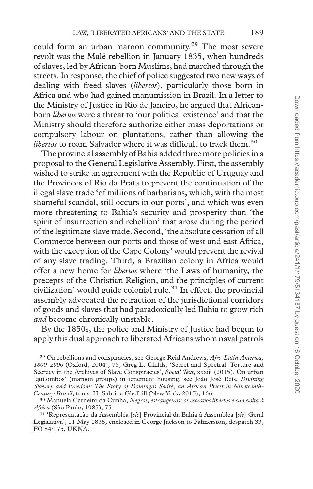could form an urban maroon community.<sup>29</sup> The most severe revolt was the Malê rebellion in January 1835, when hundreds of slaves, led by African-born Muslims, had marched through the streets. In response, the chief of police suggested two new ways of dealing with freed slaves (libertos), particularly those born in Africa and who had gained manumission in Brazil. In a letter to the Ministry of Justice in Rio de Janeiro, he argued that Africanborn *libertos* were a threat to 'our political existence' and that the Ministry should therefore authorize either mass deportations or compulsory labour on plantations, rather than allowing the *libertos* to roam Salvador where it was difficult to track them.<sup>30</sup>

The provincial assembly of Bahia added three more policies in a proposal to the General Legislative Assembly. First, the assembly wished to strike an agreement with the Republic of Uruguay and the Provinces of Rio da Prata to prevent the continuation of the illegal slave trade 'of millions of barbarians, which, with the most shameful scandal, still occurs in our ports', and which was even more threatening to Bahia's security and prosperity than 'the spirit of insurrection and rebellion' that arose during the period of the legitimate slave trade. Second, 'the absolute cessation of all Commerce between our ports and those of west and east Africa, with the exception of the Cape Colony' would prevent the revival of any slave trading. Third, a Brazilian colony in Africa would offer a new home for libertos where 'the Laws of humanity, the precepts of the Christian Religion, and the principles of current civilization' would guide colonial rule.<sup>31</sup> In effect, the provincial assembly advocated the retraction of the jurisdictional corridors of goods and slaves that had paradoxically led Bahia to grow rich and become chronically unstable.

By the 1850s, the police and Ministry of Justice had begun to apply this dual approach to liberated Africans whom naval patrols

<sup>29</sup> On rebellions and conspiracies, see George Reid Andrews, Afro-Latin America, 1800–2000 (Oxford, 2004), 75; Greg L. Childs, 'Secret and Spectral: Torture and Secrecy in the Archives of Slave Conspiracies', Social Text, xxxiii (2015). On urban 'quilombos' (maroon groups) in tenement housing, see João José Reis, *Divining* Slavery and Freedom: The Story of Domingos Sodré, an African Priest in Nineteenth-Century Brazil, trans. H. Sabrina Gledhill (New York, 2015), 166.

<sup>&</sup>lt;sup>30</sup> Manuela Carneiro da Cunha, Negros, estrangeiros: os escravos libertos e sua volta à Africa (São Paulo, 1985), 75.

 $31$  'Representação da Assembléa [sic] Provincial da Bahia à Assembléa [sic] Geral Legislativa', 11 May 1835, enclosed in George Jackson to Palmerston, despatch 33, FO 84/175, UKNA.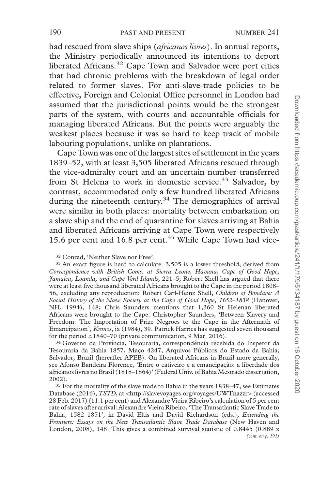had rescued from slave ships *(africanos livres)*. In annual reports, the Ministry periodically announced its intentions to deport liberated Africans.<sup>32</sup> Cape Town and Salvador were port cities that had chronic problems with the breakdown of legal order related to former slaves. For anti-slave-trade policies to be effective, Foreign and Colonial Office personnel in London had assumed that the jurisdictional points would be the strongest parts of the system, with courts and accountable officials for managing liberated Africans. But the points were arguably the weakest places because it was so hard to keep track of mobile labouring populations, unlike on plantations.

Cape Town was one of the largest sites of settlement in the years 1839–52, with at least 3,505 liberated Africans rescued through the vice-admiralty court and an uncertain number transferred from St Helena to work in domestic service.<sup>33</sup> Salvador, by contrast, accommodated only a few hundred liberated Africans during the nineteenth century.<sup>34</sup> The demographics of arrival were similar in both places: mortality between embarkation on a slave ship and the end of quarantine for slaves arriving at Bahia and liberated Africans arriving at Cape Town were respectively 15.6 per cent and 16.8 per cent.<sup>35</sup> While Cape Town had vice-

32 Conrad, 'Neither Slave nor Free'.

33 An exact figure is hard to calculate. 3,505 is a lower threshold, derived from Correspondence with British Coms. at Sierra Leone, Havana, Cape of Good Hope, Jamaica, Loanda, and Cape Verd Islands, 221–5; Robert Shell has argued that there were at least five thousand liberated Africans brought to the Cape in the period 1808– 56, excluding any reproduction: Robert Carl-Heinz Shell, Children of Bondage: A Social History of the Slave Society at the Cape of Good Hope, 1652–1838 (Hanover, NH, 1994), 148; Chris Saunders mentions that 1,360 St Helenan liberated Africans were brought to the Cape: Christopher Saunders, 'Between Slavery and Freedom: The Importation of Prize Negroes to the Cape in the Aftermath of Emancipation', Kronos, ix (1984), 39. Patrick Harries has suggested seven thousand for the period c.1840–70 (private communication, 9 Mar. 2016).

34 Governo da Província, Tesouraria, correspondência recebida do Inspetor da Tesouraria da Bahia 1857, Maço 4247, Arquivos Públicos do Estado da Bahia, Salvador, Brazil (hereafter APEB). On liberated Africans in Brazil more generally, see Afonso Bandeira Florence, 'Entre o cativeiro e a emancipação: a liberdade dos africanos livres no Brasil (1818–1864)' (Federal Univ. of Bahia Mestrado dissertation, 2002).

<sup>35</sup> For the mortality of the slave trade to Bahia in the years 1838–47, see Estimates Database (2016), TSTD, at <http://slavevoyages.org/voyages/UWTnazzr> (accessed 28 Feb. 2017) (11.1 per cent) and Alexandre Vieira Ribeiro's calculation of 5 per cent rate of slaves after arrival: Alexandre Vieira Ribeiro, 'The Transatlantic Slave Trade to Bahia, 1582–1851', in David Eltis and David Richardson (eds.), Extending the Frontiers: Essays on the New Transatlantic Slave Trade Database (New Haven and London, 2008), 148. This gives a combined survival statistic of 0.8445 (0.889 x (cont. on p. 191)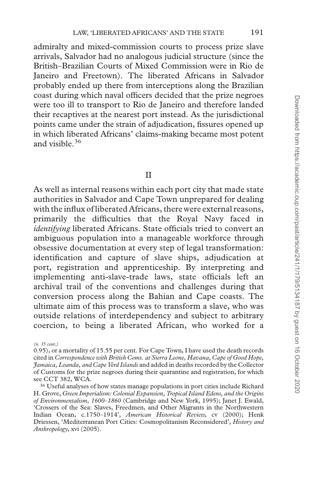admiralty and mixed-commission courts to process prize slave arrivals, Salvador had no analogous judicial structure (since the British–Brazilian Courts of Mixed Commission were in Rio de Janeiro and Freetown). The liberated Africans in Salvador probably ended up there from interceptions along the Brazilian coast during which naval officers decided that the prize negroes were too ill to transport to Rio de Janeiro and therefore landed their recaptives at the nearest port instead. As the jurisdictional points came under the strain of adjudication, fissures opened up in which liberated Africans' claims-making became most potent and visible.<sup>36</sup>

## II

As well as internal reasons within each port city that made state authorities in Salvador and Cape Town unprepared for dealing with the influx of liberated Africans, there were external reasons, primarily the difficulties that the Royal Navy faced in identifying liberated Africans. State officials tried to convert an ambiguous population into a manageable workforce through obsessive documentation at every step of legal transformation: identification and capture of slave ships, adjudication at port, registration and apprenticeship. By interpreting and implementing anti-slave-trade laws, state officials left an archival trail of the conventions and challenges during that conversion process along the Bahian and Cape coasts. The ultimate aim of this process was to transform a slave, who was outside relations of interdependency and subject to arbitrary coercion, to being a liberated African, who worked for a

<sup>(</sup>n. 35 cont.)

<sup>0.95),</sup> or a mortality of 15.55 per cent. For Cape Town, I have used the death records cited in Correspondence with British Coms. at Sierra Leone, Havana, Cape of Good Hope, Jamaica, Loanda, and Cape Verd Islands and added in deaths recorded by the Collector of Customs for the prize negroes during their quarantine and registration, for which see CCT 382, WCA.

<sup>&</sup>lt;sup>36</sup> Useful analyses of how states manage populations in port cities include Richard H. Grove, Green Imperialism: Colonial Expansion, Tropical Island Edens, and the Origins of Environmentalism, 1600–1860 (Cambridge and New York, 1995); Janet J. Ewald, 'Crossers of the Sea: Slaves, Freedmen, and Other Migrants in the Northwestern Indian Ocean, c.1750–1914', American Historical Review, cv (2000); Henk Driessen, 'Mediterranean Port Cities: Cosmopolitanism Reconsidered', History and Anthropology, xvi (2005).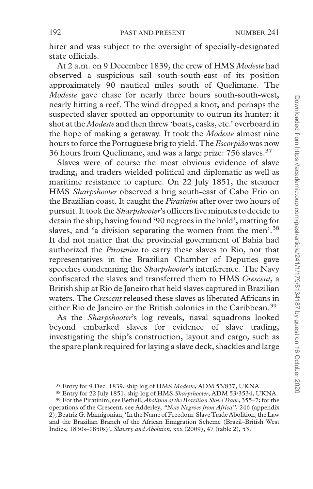hirer and was subject to the oversight of specially-designated state officials.

At 2 a.m. on 9 December 1839, the crew of HMS Modeste had observed a suspicious sail south-south-east of its position approximately 90 nautical miles south of Quelimane. The Modeste gave chase for nearly three hours south-south-west, nearly hitting a reef. The wind dropped a knot, and perhaps the suspected slaver spotted an opportunity to outrun its hunter: it shot at the Modeste and then threw 'boats, casks, etc.' overboard in the hope of making a getaway. It took the Modeste almost nine hours to force the Portuguese brig to yield. The *Escorpião* was now 36 hours from Quelimane, and was a large prize: 756 slaves.37

Slaves were of course the most obvious evidence of slave trading, and traders wielded political and diplomatic as well as maritime resistance to capture. On 22 July 1851, the steamer HMS Sharpshooter observed a brig south-east of Cabo Frio on the Brazilian coast. It caught the Piratinim after over two hours of pursuit. It took the Sharpshooter's officers five minutes to decide to detain the ship, having found '90 negroes in the hold', matting for slaves, and 'a division separating the women from the men'.<sup>38</sup> It did not matter that the provincial government of Bahia had authorized the Piratinim to carry these slaves to Rio, nor that representatives in the Brazilian Chamber of Deputies gave speeches condemning the Sharpshooter's interference. The Navy confiscated the slaves and transferred them to HMS Crescent, a British ship at Rio de Janeiro that held slaves captured in Brazilian waters. The *Crescent* released these slaves as liberated Africans in either Rio de Janeiro or the British colonies in the Caribbean.<sup>39</sup>

As the Sharpshooter's log reveals, naval squadrons looked beyond embarked slaves for evidence of slave trading, investigating the ship's construction, layout and cargo, such as the spare plank required for laying a slave deck, shackles and large

<sup>&</sup>lt;sup>37</sup> Entry for 9 Dec. 1839, ship log of HMS Modeste, ADM 53/837, UKNA.

<sup>38</sup> Entry for 22 July 1851, ship log of HMS Sharpshooter, ADM 53/3534, UKNA.

<sup>&</sup>lt;sup>39</sup> For the Piratinim, see Bethell, *Abolition of the Brazilian Slave Trade*, 355–7; for the operations of the Crescent, see Adderley, ''New Negroes from Africa'', 246 (appendix 2); Beatriz G. Mamigonian, 'In the Name of Freedom: Slave Trade Abolition, the Law and the Brazilian Branch of the African Emigration Scheme (Brazil–British West Indies, 1830s–1850s)', Slavery and Abolition, xxx (2009), 47 (table 2), 53.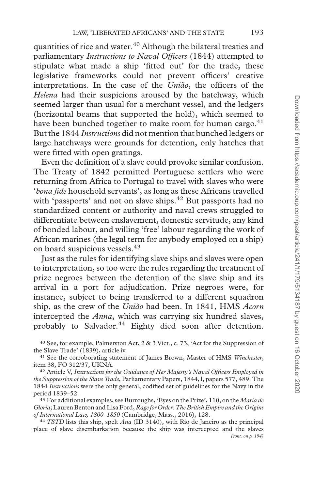quantities of rice and water.<sup>40</sup> Although the bilateral treaties and parliamentary Instructions to Naval Officers (1844) attempted to stipulate what made a ship 'fitted out' for the trade, these legislative frameworks could not prevent officers' creative interpretations. In the case of the União, the officers of the Helena had their suspicions aroused by the hatchway, which seemed larger than usual for a merchant vessel, and the ledgers (horizontal beams that supported the hold), which seemed to have been bunched together to make room for human cargo. $41$ But the 1844 Instructions did not mention that bunched ledgers or large hatchways were grounds for detention, only hatches that were fitted with open gratings.

Even the definition of a slave could provoke similar confusion. The Treaty of 1842 permitted Portuguese settlers who were returning from Africa to Portugal to travel with slaves who were 'bona fide household servants', as long as these Africans travelled with 'passports' and not on slave ships.<sup>42</sup> But passports had no standardized content or authority and naval crews struggled to differentiate between enslavement, domestic servitude, any kind of bonded labour, and willing 'free' labour regarding the work of African marines (the legal term for anybody employed on a ship) on board suspicious vessels.<sup>43</sup>

Just as the rules for identifying slave ships and slaves were open to interpretation, so too were the rules regarding the treatment of prize negroes between the detention of the slave ship and its arrival in a port for adjudication. Prize negroes were, for instance, subject to being transferred to a different squadron ship, as the crew of the União had been. In 1841, HMS Acorn intercepted the Anna, which was carrying six hundred slaves, probably to Salvador.<sup>44</sup> Eighty died soon after detention.

40 See, for example, Palmerston Act, 2 & 3 Vict., c. 73, 'Act for the Suppression of the Slave Trade' (1839), article iv.

<sup>41</sup> See the corroborating statement of James Brown, Master of HMS Winchester, item 38, FO 312/37, UKNA.

<sup>42</sup> Article V, Instructions for the Guidance of Her Majesty's Naval Officers Employed in the Suppression of the Slave Trade, Parliamentary Papers, 1844, 1, papers 577, 489. The 1844 *Instructions* were the only general, codified set of guidelines for the Navy in the period 1839–52.

<sup>43</sup> For additional examples, see Burroughs, 'Eyes on the Prize', 110, on the *Maria de* Gloria; Lauren Benton and Lisa Ford, Rage for Order: The British Empire and the Origins of International Law, 1800–1850 (Cambridge, Mass., 2016), 128.

<sup>44</sup> TSTD lists this ship, spelt Ana (ID 3140), with Rio de Janeiro as the principal place of slave disembarkation because the ship was intercepted and the slaves (cont. on p. 194)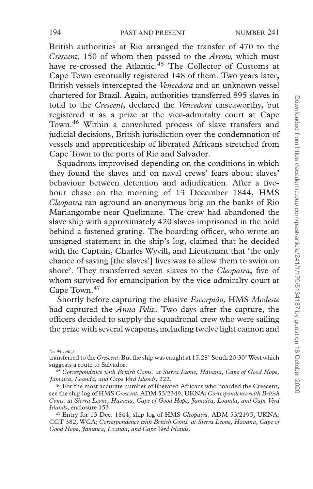British authorities at Rio arranged the transfer of 470 to the Crescent, 150 of whom then passed to the Arrow, which must have re-crossed the Atlantic.<sup>45</sup> The Collector of Customs at Cape Town eventually registered 148 of them. Two years later, British vessels intercepted the Vencedora and an unknown vessel chartered for Brazil. Again, authorities transferred 895 slaves in total to the Crescent, declared the Vencedora unseaworthy, but registered it as a prize at the vice-admiralty court at Cape Town.<sup>46</sup> Within a convoluted process of slave transfers and judicial decisions, British jurisdiction over the condemnation of vessels and apprenticeship of liberated Africans stretched from Cape Town to the ports of Rio and Salvador.

Squadrons improvised depending on the conditions in which they found the slaves and on naval crews' fears about slaves' behaviour between detention and adjudication. After a fivehour chase on the morning of 13 December 1844, HMS Cleopatra ran aground an anonymous brig on the banks of Rio Mariangombe near Quelimane. The crew had abandoned the slave ship with approximately 420 slaves imprisoned in the hold behind a fastened grating. The boarding officer, who wrote an unsigned statement in the ship's log, claimed that he decided with the Captain, Charles Wyvill, and Lieutenant that 'the only chance of saving [the slaves'] lives was to allow them to swim on shore'. They transferred seven slaves to the Cleopatra, five of whom survived for emancipation by the vice-admiralty court at Cape Town.<sup>47</sup>

Shortly before capturing the elusive *Escorpião*, HMS Modeste had captured the *Anna Feliz*. Two days after the capture, the officers decided to supply the squadronal crew who were sailing the prize with several weapons, including twelve light cannon and

<sup>(</sup>n. 44 cont.)

transferred to the Crescent. But the ship was caught at  $15.28^{\circ}$  South 20.30° West which suggests a route to Salvador.

<sup>45</sup> Correspondence with British Coms. at Sierra Leone, Havana, Cape of Good Hope, Jamaica, Loanda, and Cape Verd Islands, 222.

<sup>46</sup> For the most accurate number of liberated Africans who boarded the Crescent, see the ship log of HMS Crescent, ADM 53/2349, UKNA; Correspondence with British Coms. at Sierra Leone, Havana, Cape of Good Hope, Jamaica, Loanda, and Cape Verd Islands, enclosure 153.

<sup>47</sup> Entry for 13 Dec. 1844, ship log of HMS Cleopatra, ADM 53/2195, UKNA; CCT 382, WCA; Correspondence with British Coms. at Sierra Leone, Havana, Cape of Good Hope, Jamaica, Loanda, and Cape Verd Islands.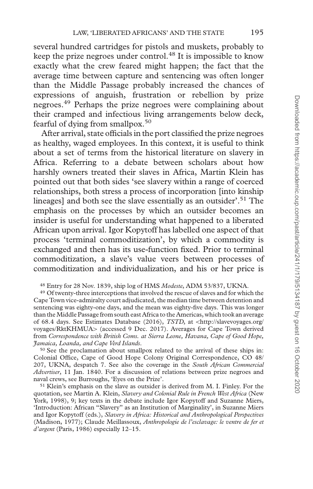several hundred cartridges for pistols and muskets, probably to keep the prize negroes under control.<sup>48</sup> It is impossible to know exactly what the crew feared might happen; the fact that the average time between capture and sentencing was often longer than the Middle Passage probably increased the chances of expressions of anguish, frustration or rebellion by prize negroes.49 Perhaps the prize negroes were complaining about their cramped and infectious living arrangements below deck, fearful of dying from smallpox.<sup>50</sup>

After arrival, state officials in the port classified the prize negroes as healthy, waged employees. In this context, it is useful to think about a set of terms from the historical literature on slavery in Africa. Referring to a debate between scholars about how harshly owners treated their slaves in Africa, Martin Klein has pointed out that both sides 'see slavery within a range of coerced relationships, both stress a process of incorporation [into kinship lineages] and both see the slave essentially as an outsider'.<sup>51</sup> The emphasis on the processes by which an outsider becomes an insider is useful for understanding what happened to a liberated African upon arrival. Igor Kopytoff has labelled one aspect of that process 'terminal commoditization', by which a commodity is exchanged and then has its use-function fixed. Prior to terminal commoditization, a slave's value veers between processes of commoditization and individualization, and his or her price is

48 Entry for 28 Nov. 1839, ship log of HMS Modeste, ADM 53/837, UKNA.

49 Of twenty-three interceptions that involved the rescue of slaves and for which the Cape Town vice-admiralty court adjudicated, the median time between detention and sentencing was eighty-one days, and the mean was eighty-five days. This was longer than the Middle Passage from south east Africa to the Americas, which took an average of 68.4 days. See Estimates Database (2016), TSTD, at <http://slavevoyages.org/ voyages/RktKHMUA4 (accessed 9 Dec. 2017). Averages for Cape Town derived from Correspondence with British Coms. at Sierra Leone, Havana, Cape of Good Hope, Jamaica, Loanda, and Cape Verd Islands.

<sup>50</sup> See the proclamation about smallpox related to the arrival of these ships in: Colonial Office, Cape of Good Hope Colony Original Correspondence, CO 48/ 207, UKNA, despatch 7. See also the coverage in the South African Commercial Advertiser, 11 Jan. 1840. For a discussion of relations between prize negroes and naval crews, see Burroughs, 'Eyes on the Prize'.

51 Klein's emphasis on the slave as outsider is derived from M. I. Finley. For the quotation, see Martin A. Klein, Slavery and Colonial Rule in French West Africa (New York, 1998), 9; key texts in the debate include Igor Kopytoff and Suzanne Miers, 'Introduction: African ''Slavery'' as an Institution of Marginality', in Suzanne Miers and Igor Kopytoff (eds.), Slavery in Africa: Historical and Anthropological Perspectives (Madison, 1977); Claude Meillassoux, Anthropologie de l'esclavage: le ventre de fer et d'argent (Paris, 1986) especially 12-15.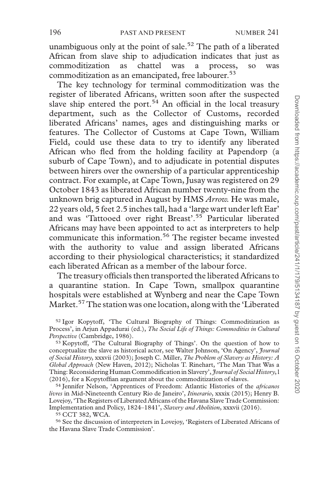unambiguous only at the point of sale.<sup>52</sup> The path of a liberated African from slave ship to adjudication indicates that just as commoditization as chattel was a process, so was commoditization as chattel was a process, so was commoditization as an emancipated, free labourer.53

The key technology for terminal commoditization was the register of liberated Africans, written soon after the suspected slave ship entered the port.<sup>54</sup> An official in the local treasury department, such as the Collector of Customs, recorded liberated Africans' names, ages and distinguishing marks or features. The Collector of Customs at Cape Town, William Field, could use these data to try to identify any liberated African who fled from the holding facility at Papendorp (a suburb of Cape Town), and to adjudicate in potential disputes between hirers over the ownership of a particular apprenticeship contract. For example, at Cape Town, Jusay was registered on 29 October 1843 as liberated African number twenty-nine from the unknown brig captured in August by HMS Arrow. He was male, 22 years old, 5 feet 2.5 inches tall, had a 'large wart under left Ear' and was 'Tattooed over right Breast'.<sup>55</sup> Particular liberated Africans may have been appointed to act as interpreters to help communicate this information.<sup>56</sup> The register became invested with the authority to value and assign liberated Africans according to their physiological characteristics; it standardized each liberated African as a member of the labour force.

The treasury officials then transported the liberated Africans to a quarantine station. In Cape Town, smallpox quarantine hospitals were established at Wynberg and near the Cape Town Market.<sup>57</sup> The station was one location, along with the 'Liberated

53 Kopytoff, 'The Cultural Biography of Things'. On the question of how to conceptualize the slave as historical actor, see Walter Johnson, 'On Agency', *Journal* of Social History, xxxvii (2003); Joseph C. Miller, The Problem of Slavery as History: A Global Approach (New Haven, 2012); Nicholas T. Rinehart, 'The Man That Was a Thing: Reconsidering Human Commodification in Slavery', Journal of Social History, l (2016), for a Kopytoffian argument about the commoditization of slaves.

<sup>54</sup> Jennifer Nelson, 'Apprentices of Freedom: Atlantic Histories of the *africanos* livres in Mid-Nineteenth Century Rio de Janeiro', Itinerario, xxxix (2015); Henry B. Lovejoy, 'The Registers of Liberated Africans of the Havana Slave Trade Commission: Implementation and Policy, 1824–1841', Slavery and Abolition, xxxvii (2016).

55 CCT 382, WCA.

56 See the discussion of interpreters in Lovejoy, 'Registers of Liberated Africans of the Havana Slave Trade Commission'.

<sup>52</sup> Igor Kopytoff, 'The Cultural Biography of Things: Commoditization as Process', in Arjun Appadurai (ed.), The Social Life of Things: Commodities in Cultural Perspective (Cambridge, 1986).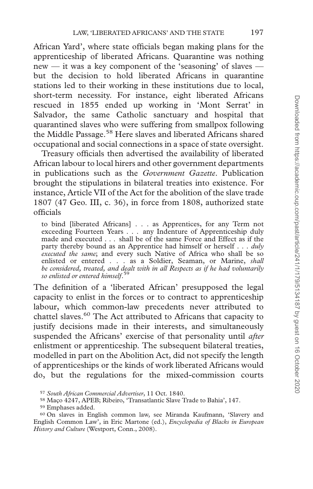African Yard', where state officials began making plans for the apprenticeship of liberated Africans. Quarantine was nothing new — it was a key component of the 'seasoning' of slaves but the decision to hold liberated Africans in quarantine stations led to their working in these institutions due to local, short-term necessity. For instance, eight liberated Africans rescued in 1855 ended up working in 'Mont Serrat' in Salvador, the same Catholic sanctuary and hospital that quarantined slaves who were suffering from smallpox following the Middle Passage.<sup>58</sup> Here slaves and liberated Africans shared occupational and social connections in a space of state oversight.

Treasury officials then advertised the availability of liberated African labour to local hirers and other government departments in publications such as the Government Gazette. Publication brought the stipulations in bilateral treaties into existence. For instance, Article VII of the Act for the abolition of the slave trade 1807 (47 Geo. III, c. 36), in force from 1808, authorized state officials

to bind [liberated Africans] . . . as Apprentices, for any Term not exceeding Fourteen Years . . . any Indenture of Apprenticeship duly made and executed . . . shall be of the same Force and Effect as if the party thereby bound as an Apprentice had himself or herself . . . *duly* executed the same; and every such Native of Africa who shall be so enlisted or entered . . . as a Soldier, Seaman, or Marine, shall be considered, treated, and dealt with in all Respects as if he had voluntarily so enlisted or entered himself.<sup>59</sup>

The definition of a 'liberated African' presupposed the legal capacity to enlist in the forces or to contract to apprenticeship labour, which common-law precedents never attributed to chattel slaves.<sup>60</sup> The Act attributed to Africans that capacity to justify decisions made in their interests, and simultaneously suspended the Africans' exercise of that personality until *after* enlistment or apprenticeship. The subsequent bilateral treaties, modelled in part on the Abolition Act, did not specify the length of apprenticeships or the kinds of work liberated Africans would do, but the regulations for the mixed-commission courts

<sup>57</sup> South African Commercial Advertiser, 11 Oct. 1840.

<sup>58</sup> Maço 4247, APEB; Ribeiro, 'Transatlantic Slave Trade to Bahia', 147.

<sup>59</sup> Emphases added.

<sup>60</sup> On slaves in English common law, see Miranda Kaufmann, 'Slavery and English Common Law', in Eric Martone (ed.), Encyclopedia of Blacks in European History and Culture (Westport, Conn., 2008).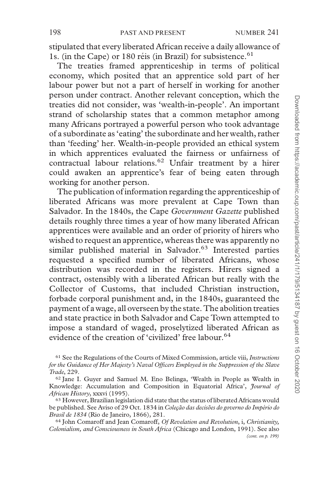stipulated that every liberated African receive a daily allowance of 1s. (in the Cape) or 180 réis (in Brazil) for subsistence.<sup>61</sup>

The treaties framed apprenticeship in terms of political economy, which posited that an apprentice sold part of her labour power but not a part of herself in working for another person under contract. Another relevant conception, which the treaties did not consider, was 'wealth-in-people'. An important strand of scholarship states that a common metaphor among many Africans portrayed a powerful person who took advantage of a subordinate as 'eating' the subordinate and her wealth, rather than 'feeding' her. Wealth-in-people provided an ethical system in which apprentices evaluated the fairness or unfairness of contractual labour relations.<sup>62</sup> Unfair treatment by a hirer could awaken an apprentice's fear of being eaten through working for another person.

The publication of information regarding the apprenticeship of liberated Africans was more prevalent at Cape Town than Salvador. In the 1840s, the Cape Government Gazette published details roughly three times a year of how many liberated African apprentices were available and an order of priority of hirers who wished to request an apprentice, whereas there was apparently no similar published material in Salvador.<sup>63</sup> Interested parties requested a specified number of liberated Africans, whose distribution was recorded in the registers. Hirers signed a contract, ostensibly with a liberated African but really with the Collector of Customs, that included Christian instruction, forbade corporal punishment and, in the 1840s, guaranteed the payment of a wage, all overseen by the state. The abolition treaties and state practice in both Salvador and Cape Town attempted to impose a standard of waged, proselytized liberated African as evidence of the creation of 'civilized' free labour.  $64$ 

64 John Comaroff and Jean Comaroff, Of Revelation and Revolution, i, Christianity, Colonialism, and Consciousness in South Africa (Chicago and London, 1991). See also (cont. on p. 199)

<sup>61</sup> See the Regulations of the Courts of Mixed Commission, article viii, Instructions for the Guidance of Her Majesty's Naval Officers Employed in the Suppression of the Slave Trade, 229.

<sup>62</sup> Jane I. Guyer and Samuel M. Eno Belinga, 'Wealth in People as Wealth in Knowledge: Accumulation and Composition in Equatorial Africa', Journal of African History, xxxvi (1995).

<sup>63</sup> However, Brazilian legislation did state that the status of liberated Africans would be published. See Aviso of 29 Oct. 1834 in Coleção das decisões do governo do Império do Brasil de 1834 (Rio de Janeiro, 1866), 281.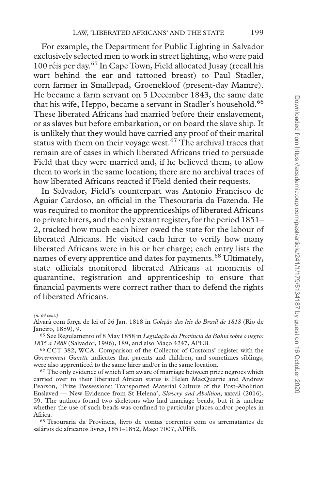For example, the Department for Public Lighting in Salvador exclusively selected men to work in street lighting, who were paid 100 réis per day.<sup>65</sup> In Cape Town, Field allocated Jusay (recall his wart behind the ear and tattooed breast) to Paul Stadler, corn farmer in Smallepad, Groenekloof (present-day Mamre). He became a farm servant on 5 December 1843, the same date that his wife, Heppo, became a servant in Stadler's household.<sup>66</sup> These liberated Africans had married before their enslavement, or as slaves but before embarkation, or on board the slave ship. It is unlikely that they would have carried any proof of their marital status with them on their voyage west.<sup>67</sup> The archival traces that remain are of cases in which liberated Africans tried to persuade Field that they were married and, if he believed them, to allow them to work in the same location; there are no archival traces of how liberated Africans reacted if Field denied their requests.

In Salvador, Field's counterpart was Antonio Francisco de Aguiar Cardoso, an official in the Thesouraria da Fazenda. He was required to monitor the apprenticeships of liberated Africans to private hirers, and the only extant register, for the period 1851– 2, tracked how much each hirer owed the state for the labour of liberated Africans. He visited each hirer to verify how many liberated Africans were in his or her charge; each entry lists the names of every apprentice and dates for payments.<sup>68</sup> Ultimately, state officials monitored liberated Africans at moments of quarantine, registration and apprenticeship to ensure that financial payments were correct rather than to defend the rights of liberated Africans.

68 Tesouraria da Provincia, livro de contas correntes com os arrematantes de salários de africanos livres, 1851-1852, Maço 7007, APEB.

<sup>(</sup>n. 64 cont.)

Alvará com força de lei of 26 Jan. 1818 in Coleção das leis do Brasil de 1818 (Rio de Janeiro, 1889), 9.

<sup>65</sup> See Regulamento of 8 May 1858 in Legislação da Província da Bahia sobre o negro: 1835 a 1888 (Salvador, 1996), 189, and also Maço 4247, APEB.

<sup>66</sup> CCT 382, WCA. Comparison of the Collector of Customs' register with the Government Gazette indicates that parents and children, and sometimes siblings, were also apprenticed to the same hirer and/or in the same location.

<sup>&</sup>lt;sup>67</sup> The only evidence of which I am aware of marriage between prize negroes which carried over to their liberated African status is Helen MacQuarrie and Andrew Pearson, 'Prize Possessions: Transported Material Culture of the Post-Abolition Enslaved — New Evidence from St Helena', Slavery and Abolition, xxxvii (2016), 59. The authors found two skeletons who had marriage beads, but it is unclear whether the use of such beads was confined to particular places and/or peoples in Africa.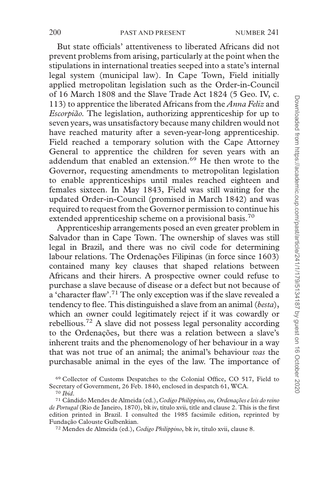But state officials' attentiveness to liberated Africans did not prevent problems from arising, particularly at the point when the stipulations in international treaties seeped into a state's internal legal system (municipal law). In Cape Town, Field initially applied metropolitan legislation such as the Order-in-Council of 16 March 1808 and the Slave Trade Act 1824 (5 Geo. IV, c. 113) to apprentice the liberated Africans from the Anna Feliz and Escorpião. The legislation, authorizing apprenticeship for up to seven years, was unsatisfactory because many children would not have reached maturity after a seven-year-long apprenticeship. Field reached a temporary solution with the Cape Attorney General to apprentice the children for seven years with an addendum that enabled an extension.<sup>69</sup> He then wrote to the Governor, requesting amendments to metropolitan legislation to enable apprenticeships until males reached eighteen and females sixteen. In May 1843, Field was still waiting for the updated Order-in-Council (promised in March 1842) and was required to request from the Governor permission to continue his extended apprenticeship scheme on a provisional basis.<sup>70</sup>

Apprenticeship arrangements posed an even greater problem in Salvador than in Cape Town. The ownership of slaves was still legal in Brazil, and there was no civil code for determining labour relations. The Ordenações Filipinas (in force since 1603) contained many key clauses that shaped relations between Africans and their hirers. A prospective owner could refuse to purchase a slave because of disease or a defect but not because of a 'character flaw'.<sup>71</sup> The only exception was if the slave revealed a tendency to flee. This distinguished a slave from an animal (besta), which an owner could legitimately reject if it was cowardly or rebellious.72 A slave did not possess legal personality according to the Ordenações, but there was a relation between a slave's inherent traits and the phenomenology of her behaviour in a way that was not true of an animal; the animal's behaviour was the purchasable animal in the eyes of the law. The importance of

72 Mendes de Almeida (ed.), Codigo Philippino, bk iv, título xvii, clause 8.

<sup>69</sup> Collector of Customs Despatches to the Colonial Office, CO 517, Field to Secretary of Government, 26 Feb. 1840, enclosed in despatch 61, WCA.

<sup>70</sup> Ibid.

<sup>71</sup> Cândido Mendes de Almeida (ed.), Codigo Philippino, ou, Ordenações e leis do reino de Portugal (Rio de Janeiro, 1870), bk iv, título xvii, title and clause 2. This is the first edition printed in Brazil. I consulted the 1985 facsimile edition, reprinted by Fundação Calouste Gulbenkian.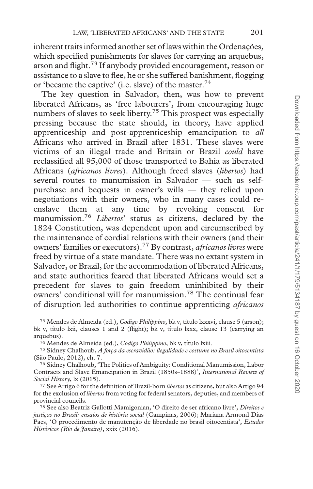inherent traits informed another set of laws within the Ordenacões, which specified punishments for slaves for carrying an arquebus, arson and flight.73 If anybody provided encouragement, reason or assistance to a slave to flee, he or she suffered banishment, flogging or 'became the captive' (i.e. slave) of the master.74

The key question in Salvador, then, was how to prevent liberated Africans, as 'free labourers', from encouraging huge numbers of slaves to seek liberty.<sup>75</sup> This prospect was especially pressing because the state should, in theory, have applied apprenticeship and post-apprenticeship emancipation to all Africans who arrived in Brazil after 1831. These slaves were victims of an illegal trade and Britain or Brazil could have reclassified all 95,000 of those transported to Bahia as liberated Africans (africanos livres). Although freed slaves (libertos) had several routes to manumission in Salvador — such as selfpurchase and bequests in owner's wills — they relied upon negotiations with their owners, who in many cases could reenslave them at any time by revoking consent for manumission.<sup>76</sup> Libertos' status as citizens, declared by the 1824 Constitution, was dependent upon and circumscribed by the maintenance of cordial relations with their owners (and their owners' families or executors).<sup>77</sup> By contrast, *africanos livres* were freed by virtue of a state mandate. There was no extant system in Salvador, or Brazil, for the accommodation of liberated Africans, and state authorities feared that liberated Africans would set a precedent for slaves to gain freedom uninhibited by their owners' conditional will for manumission.<sup>78</sup> The continual fear of disruption led authorities to continue apprenticing africanos

73 Mendes de Almeida (ed.), Codigo Philippino, bk v, título lxxxvi, clause 5 (arson); bk v, titulo lxii, clauses 1 and 2 (flight); bk v, titulo lxxx, clause 13 (carrying an arquebus).

<sup>74</sup> Mendes de Almeida (ed.), Codigo Philippino, bk v, título lxiii.

 $75$  Sidney Chalhoub, A força da escravidão: ilegalidade e costume no Brasil oitocentista (São Paulo, 2012), ch. 7.

76 Sidney Chalhoub, 'The Politics of Ambiguity: Conditional Manumission, Labor Contracts and Slave Emancipation in Brazil (1850s–1888)', International Review of Social History, lx (2015).

77 See Artigo 6 for the definition of Brazil-born libertos as citizens, but also Artigo 94 for the exclusion of *libertos* from voting for federal senators, deputies, and members of provincial councils.

78 See also Beatriz Gallotti Mamigonian, 'O direito de ser africano livre', Direitos e justiças no Brasil: ensaios de história social (Campinas, 2006); Mariana Armond Dias Paes, 'O procedimento de manutenção de liberdade no brasil oitocentista', Estudos Históricos (Rio de Janeiro), xxix (2016).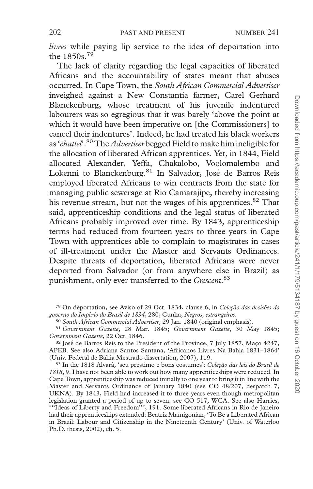livres while paying lip service to the idea of deportation into the 1850s.<sup>79</sup>

The lack of clarity regarding the legal capacities of liberated Africans and the accountability of states meant that abuses occurred. In Cape Town, the South African Commercial Advertiser inveighed against a New Constantia farmer, Carel Gerhard Blanckenburg, whose treatment of his juvenile indentured labourers was so egregious that it was barely 'above the point at which it would have been imperative on [the Commissioners] to cancel their indentures'. Indeed, he had treated his black workers as '*chattel*'.<sup>80</sup>The *Advertiser* begged Field to make him ineligible for the allocation of liberated African apprentices. Yet, in 1844, Field allocated Alexander, Yeffa, Chakalobo, Voolomalembo and Lokenni to Blanckenburg.<sup>81</sup> In Salvador, José de Barros Reis employed liberated Africans to win contracts from the state for managing public sewerage at Rio Camarajipe, thereby increasing his revenue stream, but not the wages of his apprentices.<sup>82</sup> That said, apprenticeship conditions and the legal status of liberated Africans probably improved over time. By 1843, apprenticeship terms had reduced from fourteen years to three years in Cape Town with apprentices able to complain to magistrates in cases of ill-treatment under the Master and Servants Ordinances. Despite threats of deportation, liberated Africans were never deported from Salvador (or from anywhere else in Brazil) as punishment, only ever transferred to the Crescent.<sup>83</sup>

 $79$  On deportation, see Aviso of 29 Oct. 1834, clause 6, in Colecão das decisões do governo do Império do Brasil de 1834, 280; Cunha, Negros, estrangeiros.

80 South African Commercial Advertiser, 29 Jan. 1840 (original emphasis).

81 Government Gazette, 28 Mar. 1845; Government Gazette, 30 May 1845; Government Gazette, 22 Oct. 1846.

82 José de Barros Reis to the President of the Province, 7 July 1857, Maço 4247, APEB. See also Adriana Santos Santana, 'Africanos Livres Na Bahia 1831–1864' (Univ. Federal de Bahia Mestrado dissertation, 2007), 119.

83 In the 1818 Alvará, 'seu préstimo e bons costumes': Coleção das leis do Brasil de 1818, 9. I have not been able to work out how many apprenticeships were reduced. In Cape Town, apprenticeship was reduced initially to one year to bring it in line with the Master and Servants Ordinance of January 1840 (see CO 48/207, despatch 7, UKNA). By 1843, Field had increased it to three years even though metropolitan legislation granted a period of up to seven: see CO 517, WCA. See also Harries, '''Ideas of Liberty and Freedom''', 191. Some liberated Africans in Rio de Janeiro had their apprenticeships extended: Beatriz Mamigonian, 'To Be a Liberated African in Brazil: Labour and Citizenship in the Nineteenth Century' (Univ. of Waterloo Ph.D. thesis, 2002), ch. 5.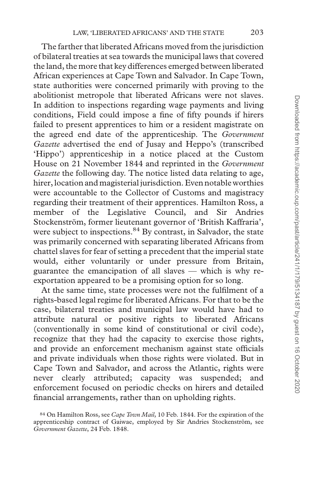The farther that liberated Africans moved from the jurisdiction of bilateral treaties at sea towards the municipal laws that covered the land, the more that key differences emerged between liberated African experiences at Cape Town and Salvador. In Cape Town, state authorities were concerned primarily with proving to the abolitionist metropole that liberated Africans were not slaves. In addition to inspections regarding wage payments and living conditions, Field could impose a fine of fifty pounds if hirers failed to present apprentices to him or a resident magistrate on the agreed end date of the apprenticeship. The Government Gazette advertised the end of Jusay and Heppo's (transcribed 'Hippo') apprenticeship in a notice placed at the Custom House on 21 November 1844 and reprinted in the Government Gazette the following day. The notice listed data relating to age, hirer, location and magisterial jurisdiction. Even notable worthies were accountable to the Collector of Customs and magistracy regarding their treatment of their apprentices. Hamilton Ross, a member of the Legislative Council, and Sir Andries Stockenström, former lieutenant governor of 'British Kaffraria', were subject to inspections.<sup>84</sup> By contrast, in Salvador, the state was primarily concerned with separating liberated Africans from chattel slaves for fear of setting a precedent that the imperial state would, either voluntarily or under pressure from Britain, guarantee the emancipation of all slaves — which is why reexportation appeared to be a promising option for so long.

At the same time, state processes were not the fulfilment of a rights-based legal regime for liberated Africans. For that to be the case, bilateral treaties and municipal law would have had to attribute natural or positive rights to liberated Africans (conventionally in some kind of constitutional or civil code), recognize that they had the capacity to exercise those rights, and provide an enforcement mechanism against state officials and private individuals when those rights were violated. But in Cape Town and Salvador, and across the Atlantic, rights were never clearly attributed; capacity was suspended; and enforcement focused on periodic checks on hirers and detailed financial arrangements, rather than on upholding rights.

<sup>84</sup> On Hamilton Ross, see Cape Town Mail, 10 Feb. 1844. For the expiration of the apprenticeship contract of Gaiwae, employed by Sir Andries Stockenström, see Government Gazette, 24 Feb. 1848.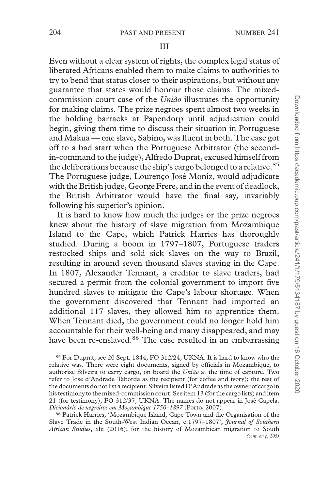Even without a clear system of rights, the complex legal status of liberated Africans enabled them to make claims to authorities to try to bend that status closer to their aspirations, but without any guarantee that states would honour those claims. The mixedcommission court case of the União illustrates the opportunity for making claims. The prize negroes spent almost two weeks in the holding barracks at Papendorp until adjudication could begin, giving them time to discuss their situation in Portuguese and Makua — one slave, Sabino, was fluent in both. The case got off to a bad start when the Portuguese Arbitrator (the secondin-command to the judge), Alfredo Duprat, excused himself from the deliberations because the ship's cargo belonged to a relative.<sup>85</sup> The Portuguese judge, Lourenco José Moniz, would adjudicate with the British judge, George Frere, and in the event of deadlock, the British Arbitrator would have the final say, invariably following his superior's opinion.

It is hard to know how much the judges or the prize negroes knew about the history of slave migration from Mozambique Island to the Cape, which Patrick Harries has thoroughly studied. During a boom in 1797–1807, Portuguese traders restocked ships and sold sick slaves on the way to Brazil, resulting in around seven thousand slaves staying in the Cape. In 1807, Alexander Tennant, a creditor to slave traders, had secured a permit from the colonial government to import five hundred slaves to mitigate the Cape's labour shortage. When the government discovered that Tennant had imported an additional 117 slaves, they allowed him to apprentice them. When Tennant died, the government could no longer hold him accountable for their well-being and many disappeared, and may have been re-enslaved.<sup>86</sup> The case resulted in an embarrassing

85 For Duprat, see 20 Sept. 1844, FO 312/24, UKNA. It is hard to know who the relative was. There were eight documents, signed by officials in Mozambique, to authorize Silveira to carry cargo, on board the União at the time of capture. Two refer to Jose d'Andrade Taborda as the recipient (for coffee and ivory); the rest of the documents do not list a recipient. Silveira listed D'Andrade as the owner of cargo in his testimony to the mixed-commission court. See item 13 (for the cargo lists) and item 21 (for testimony), FO 312/37, UKNA. The names do not appear in Jose´ Capela, Dicionário de negreiros em Moçambique 1750–1897 (Porto, 2007).

(cont. on p. 205) 86 Patrick Harries, 'Mozambique Island, Cape Town and the Organisation of the Slave Trade in the South-West Indian Ocean, c.1797–1807', Journal of Southern African Studies, xlii (2016); for the history of Mozambican migration to South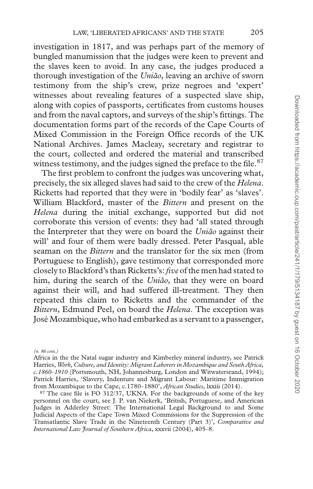investigation in 1817, and was perhaps part of the memory of bungled manumission that the judges were keen to prevent and the slaves keen to avoid. In any case, the judges produced a thorough investigation of the  $Uni\tilde{a}o$ , leaving an archive of sworn testimony from the ship's crew, prize negroes and 'expert' witnesses about revealing features of a suspected slave ship, along with copies of passports, certificates from customs houses and from the naval captors, and surveys of the ship's fittings. The documentation forms part of the records of the Cape Courts of Mixed Commission in the Foreign Office records of the UK National Archives. James Macleay, secretary and registrar to the court, collected and ordered the material and transcribed witness testimony, and the judges signed the preface to the file.<sup>87</sup>

The first problem to confront the judges was uncovering what, precisely, the six alleged slaves had said to the crew of the *Helena*. Ricketts had reported that they were in 'bodily fear' as 'slaves'. William Blackford, master of the Bittern and present on the Helena during the initial exchange, supported but did not corroborate this version of events: they had 'all stated through the Interpreter that they were on board the  $Uni\tilde{a}o$  against their will' and four of them were badly dressed. Peter Pasqual, able seaman on the *Bittern* and the translator for the six men (from Portuguese to English), gave testimony that corresponded more closely to Blackford's than Ricketts's: five of the men had stated to him, during the search of the União, that they were on board against their will, and had suffered ill-treatment. They then repeated this claim to Ricketts and the commander of the Bittern, Edmund Peel, on board the Helena. The exception was José Mozambique, who had embarked as a servant to a passenger,

<sup>(</sup>n. 86 cont.)

Africa in the the Natal sugar industry and Kimberley mineral industry, see Patrick Harries, Work, Culture, and Identity: Migrant Laborers in Mozambique and South Africa, c.1860–1910 (Portsmouth, NH, Johannesburg, London and Witwatersrand, 1994); Patrick Harries, 'Slavery, Indenture and Migrant Labour: Maritime Immigration from Mozambique to the Cape, c.1780–1880', African Studies, lxxiii (2014).

<sup>87</sup> The case file is FO 312/37, UKNA. For the backgrounds of some of the key personnel on the court, see J. P. van Niekerk, 'British, Portuguese, and American Judges in Adderley Street: The International Legal Background to and Some Judicial Aspects of the Cape Town Mixed Commissions for the Suppression of the Transatlantic Slave Trade in the Nineteenth Century (Part 3)', Comparative and International Law Journal of Southern Africa, xxxvii (2004), 405–8.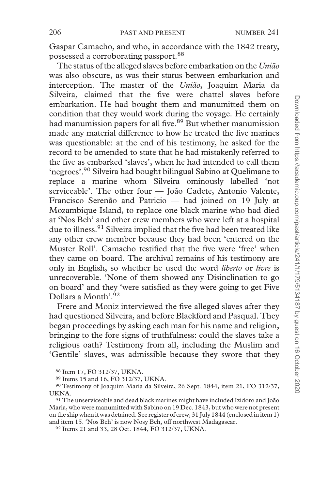Gaspar Camacho, and who, in accordance with the 1842 treaty, possessed a corroborating passport.<sup>88</sup>

The status of the alleged slaves before embarkation on the  $Uni\tilde{\alpha}o$ was also obscure, as was their status between embarkation and interception. The master of the União, Joaquim Maria da Silveira, claimed that the five were chattel slaves before embarkation. He had bought them and manumitted them on condition that they would work during the voyage. He certainly had manumission papers for all five.<sup>89</sup> But whether manumission made any material difference to how he treated the five marines was questionable: at the end of his testimony, he asked for the record to be amended to state that he had mistakenly referred to the five as embarked 'slaves', when he had intended to call them 'negroes'.90 Silveira had bought bilingual Sabino at Quelimane to replace a marine whom Silveira ominously labelled 'not serviceable'. The other four — João Cadete, Antonio Valente, Francisco Serenão and Patricio — had joined on 19 July at Mozambique Island, to replace one black marine who had died at 'Nos Beh' and other crew members who were left at a hospital due to illness.<sup>91</sup> Silveira implied that the five had been treated like any other crew member because they had been 'entered on the Muster Roll'. Camacho testified that the five were 'free' when they came on board. The archival remains of his testimony are only in English, so whether he used the word *liberto* or *livre* is unrecoverable. 'None of them showed any Disinclination to go on board' and they 'were satisfied as they were going to get Five Dollars a Month'.<sup>92</sup>

Frere and Moniz interviewed the five alleged slaves after they had questioned Silveira, and before Blackford and Pasqual. They began proceedings by asking each man for his name and religion, bringing to the fore signs of truthfulness: could the slaves take a religious oath? Testimony from all, including the Muslim and 'Gentile' slaves, was admissible because they swore that they

92 Items 21 and 33, 28 Oct. 1844, FO 312/37, UKNA.

<sup>88</sup> Item 17, FO 312/37, UKNA.

<sup>89</sup> Items 15 and 16, FO 312/37, UKNA.

<sup>90</sup> Testimony of Joaquim Maria da Silveira, 26 Sept. 1844, item 21, FO 312/37, UKNA.

<sup>&</sup>lt;sup>91</sup> The unserviceable and dead black marines might have included Izidoro and João Maria, who were manumitted with Sabino on 19 Dec. 1843, but who were not present on the ship when it was detained. See register of crew, 31 July 1844 (enclosed in item 1) and item 15. 'Nos Beh' is now Nosy Beh, off northwest Madagascar.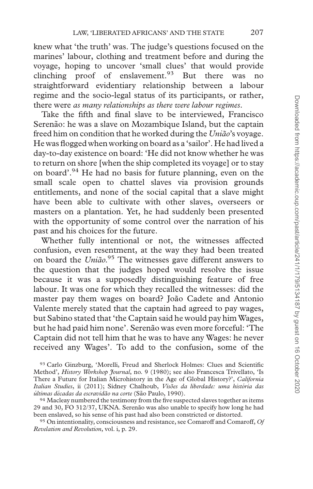knew what 'the truth' was. The judge's questions focused on the marines' labour, clothing and treatment before and during the voyage, hoping to uncover 'small clues' that would provide clinching proof of enslavement. <sup>93</sup> But there was no straightforward evidentiary relationship between a labour regime and the socio-legal status of its participants, or rather, there were as many relationships as there were labour regimes.

Take the fifth and final slave to be interviewed, Francisco Serenão: he was a slave on Mozambique Island, but the captain freed him on condition that he worked during the União's voyage. He was flogged when working on board as a 'sailor'. He had lived a day-to-day existence on board: 'He did not know whether he was to return on shore [when the ship completed its voyage] or to stay on board'.94 He had no basis for future planning, even on the small scale open to chattel slaves via provision grounds entitlements, and none of the social capital that a slave might have been able to cultivate with other slaves, overseers or masters on a plantation. Yet, he had suddenly been presented with the opportunity of some control over the narration of his past and his choices for the future.

Whether fully intentional or not, the witnesses affected confusion, even resentment, at the way they had been treated on board the União.<sup>95</sup> The witnesses gave different answers to the question that the judges hoped would resolve the issue because it was a supposedly distinguishing feature of free labour. It was one for which they recalled the witnesses: did the master pay them wages on board? João Cadete and Antonio Valente merely stated that the captain had agreed to pay wages, but Sabino stated that 'the Captain said he would pay him Wages, but he had paid him none'. Serenão was even more forceful: 'The Captain did not tell him that he was to have any Wages: he never received any Wages'. To add to the confusion, some of the

95 On intentionality, consciousness and resistance, see Comaroff and Comaroff, Of Revelation and Revolution, vol. i, p. 29.

<sup>93</sup> Carlo Ginzburg, 'Morelli, Freud and Sherlock Holmes: Clues and Scientific Method', History Workshop Journal, no. 9 (1980); see also Francesca Trivellato, 'Is There a Future for Italian Microhistory in the Age of Global History?', California Italian Studies, ii (2011); Sidney Chalhoub, Visões da liberdade: uma história das últimas décadas da escravidão na corte (São Paulo, 1990).

<sup>&</sup>lt;sup>94</sup> Macleay numbered the testimony from the five suspected slaves together as items 29 and 30, FO 312/37, UKNA. Serenão was also unable to specify how long he had been enslaved, so his sense of his past had also been constricted or distorted.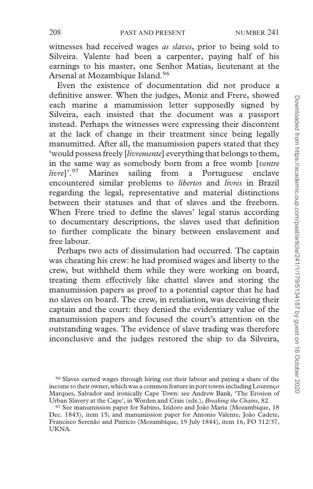witnesses had received wages *as slaves*, prior to being sold to Silveira. Valente had been a carpenter, paying half of his earnings to his master, one Senhor Matias, lieutenant at the Arsenal at Mozambique Island.96

Even the existence of documentation did not produce a definitive answer. When the judges, Moniz and Frere, showed each marine a manumission letter supposedly signed by Silveira, each insisted that the document was a passport instead. Perhaps the witnesses were expressing their discontent at the lack of change in their treatment since being legally manumitted. After all, the manumission papers stated that they 'would possess freely [livremente] everything that belongs to them, in the same way as somebody born from a free womb [ventre live]'.<sup>97</sup> Marines sailing from a Portuguese enclave Marines sailing from a Portuguese enclave encountered similar problems to libertos and livres in Brazil regarding the legal, representative and material distinctions between their statuses and that of slaves and the freeborn. When Frere tried to define the slaves' legal status according to documentary descriptions, the slaves used that definition to further complicate the binary between enslavement and free labour.

Perhaps two acts of dissimulation had occurred. The captain was cheating his crew: he had promised wages and liberty to the crew, but withheld them while they were working on board, treating them effectively like chattel slaves and storing the manumission papers as proof to a potential captor that he had no slaves on board. The crew, in retaliation, was deceiving their captain and the court: they denied the evidentiary value of the manumission papers and focused the court's attention on the outstanding wages. The evidence of slave trading was therefore inconclusive and the judges restored the ship to da Silveira,

<sup>96</sup> Slaves earned wages through hiring out their labour and paying a share of the income to their owner, which was a common feature in port towns including Lourenço Marques, Salvador and ironically Cape Town: see Andrew Bank, 'The Erosion of Urban Slavery at the Cape', in Worden and Crais (eds.), *Breaking the Chains*, 82.

<sup>97</sup> See manumission paper for Sabino, Izidoro and João Maria (Mozambique, 18 Dec. 1843), item 15; and manumission paper for Antonio Valente, João Cadete, Francisco Serenão and Patricio (Mozambique, 19 July 1844), item 16, FO 312/37, UKNA.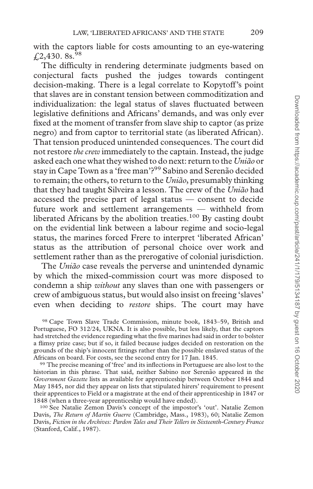with the captors liable for costs amounting to an eye-watering  $f$ , 2, 430. 8s.<sup>98</sup>

The difficulty in rendering determinate judgments based on conjectural facts pushed the judges towards contingent decision-making. There is a legal correlate to Kopytoff's point that slaves are in constant tension between commoditization and individualization: the legal status of slaves fluctuated between legislative definitions and Africans' demands, and was only ever fixed at the moment of transfer from slave ship to captor (as prize negro) and from captor to territorial state (as liberated African). That tension produced unintended consequences. The court did not restore *the crew* immediately to the captain. Instead, the judge asked each one what they wished to do next: return to the União or stay in Cape Town as a 'free man'?<sup>99</sup> Sabino and Serenão decided to remain; the others, to return to the  $Uni\tilde{a}o$ , presumably thinking that they had taught Silveira a lesson. The crew of the União had accessed the precise part of legal status — consent to decide future work and settlement arrangements — withheld from liberated Africans by the abolition treaties. $100$  By casting doubt on the evidential link between a labour regime and socio-legal status, the marines forced Frere to interpret 'liberated African' status as the attribution of personal choice over work and settlement rather than as the prerogative of colonial jurisdiction.

The União case reveals the perverse and unintended dynamic by which the mixed-commission court was more disposed to condemn a ship *without* any slaves than one with passengers or crew of ambiguous status, but would also insist on freeing 'slaves' even when deciding to restore ships. The court may have

98 Cape Town Slave Trade Commission, minute book, 1843–59, British and Portuguese, FO 312/24, UKNA. It is also possible, but less likely, that the captors had stretched the evidence regarding what the five marines had said in order to bolster a flimsy prize case; but if so, it failed because judges decided on restoration on the grounds of the ship's innocent fittings rather than the possible enslaved status of the Africans on board. For costs, see the second entry for 17 Jan. 1845.

99 The precise meaning of 'free' and its inflections in Portuguese are also lost to the historian in this phrase. That said, neither Sabino nor Serenão appeared in the Government Gazette lists as available for apprenticeship between October 1844 and May 1845, nor did they appear on lists that stipulated hirers' requirement to present their apprentices to Field or a magistrate at the end of their apprenticeship in 1847 or 1848 (when a three-year apprenticeship would have ended).

100 See Natalie Zemon Davis's concept of the impostor's 'out'. Natalie Zemon Davis, The Return of Martin Guerre (Cambridge, Mass., 1983), 60; Natalie Zemon Davis, Fiction in the Archives: Pardon Tales and Their Tellers in Sixteenth-Century France (Stanford, Calif., 1987).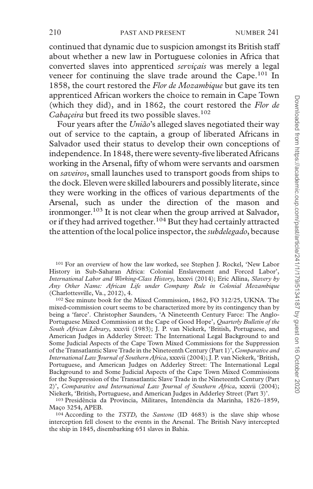continued that dynamic due to suspicion amongst its British staff about whether a new law in Portuguese colonies in Africa that converted slaves into apprenticed *servicais* was merely a legal veneer for continuing the slave trade around the Cape.<sup>101</sup> In 1858, the court restored the Flor de Mozambique but gave its ten apprenticed African workers the choice to remain in Cape Town (which they did), and in 1862, the court restored the Flor de Cabaçeira but freed its two possible slaves.<sup>102</sup>

Four years after the União's alleged slaves negotiated their way out of service to the captain, a group of liberated Africans in Salvador used their status to develop their own conceptions of independence. In 1848, there were seventy-five liberated Africans working in the Arsenal, fifty of whom were servants and oarsmen on saveiros, small launches used to transport goods from ships to the dock. Eleven were skilled labourers and possibly literate, since they were working in the offices of various departments of the Arsenal, such as under the direction of the mason and ironmonger.<sup>103</sup> It is not clear when the group arrived at Salvador, or if they had arrived together.<sup>104</sup> But they had certainly attracted the attention of the local police inspector, the subdelegado, because

101 For an overview of how the law worked, see Stephen J. Rockel, 'New Labor History in Sub-Saharan Africa: Colonial Enslavement and Forced Labor', International Labor and Working-Class History, lxxxvi (2014); Eric Allina, Slavery by Any Other Name: African Life under Company Rule in Colonial Mozambique (Charlottesville, Va., 2012), 4.

102 See minute book for the Mixed Commission, 1862, FO 312/25, UKNA. The mixed-commission court seems to be characterized more by its contingency than by being a 'farce'. Christopher Saunders, 'A Nineteenth Century Farce: The Anglo-Portuguese Mixed Commission at the Cape of Good Hope', Quarterly Bulletin of the South African Library, xxxvii (1983); J. P. van Niekerk, 'British, Portuguese, and American Judges in Adderley Street: The International Legal Background to and Some Judicial Aspects of the Cape Town Mixed Commissions for the Suppression of the Transatlantic Slave Trade in the Nineteenth Century (Part 1)', Comparative and International Law Journal of Southern Africa, xxxvii (2004); J. P. van Niekerk, 'British, Portuguese, and American Judges on Adderley Street: The International Legal Background to and Some Judicial Aspects of the Cape Town Mixed Commissions for the Suppression of the Transatlantic Slave Trade in the Nineteenth Century (Part 2)', Comparative and International Law Journal of Southern Africa, xxxvii (2004); Niekerk, 'British, Portuguese, and American Judges in Adderley Street (Part 3)'.

<sup>103</sup> Presidência da Província, Militares, Intendência da Marinha, 1826–1859, Maço 3254, APEB.

<sup>104</sup> According to the *TSTD*, the *Santone* (ID 4683) is the slave ship whose interception fell closest to the events in the Arsenal. The British Navy intercepted the ship in 1845, disembarking 651 slaves in Bahia.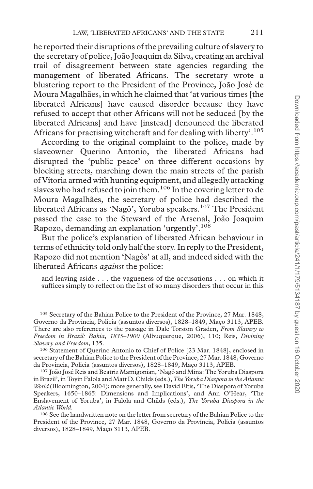he reported their disruptions of the prevailing culture of slavery to the secretary of police, João Joaquim da Silva, creating an archival trail of disagreement between state agencies regarding the management of liberated Africans. The secretary wrote a blustering report to the President of the Province, João José de Moura Magalhães, in which he claimed that 'at various times [the liberated Africans] have caused disorder because they have refused to accept that other Africans will not be seduced [by the liberated Africans] and have [instead] denounced the liberated Africans for practising witchcraft and for dealing with liberty'.<sup>105</sup>

According to the original complaint to the police, made by slaveowner Querino Antonio, the liberated Africans had disrupted the 'public peace' on three different occasions by blocking streets, marching down the main streets of the parish of Vítoria armed with hunting equipment, and allegedly attacking slaves who had refused to join them.<sup>106</sup> In the covering letter to de Moura Magalhães, the secretary of police had described the liberated Africans as 'Nagô', Yoruba speakers.<sup>107</sup> The President passed the case to the Steward of the Arsenal, João Joaquim Rapozo, demanding an explanation 'urgently'.<sup>108</sup>

But the police's explanation of liberated African behaviour in terms of ethnicity told only half the story. In reply to the President, Rapozo did not mention 'Nagôs' at all, and indeed sided with the liberated Africans *against* the police:

and leaving aside . . . the vagueness of the accusations . . . on which it suffices simply to reflect on the list of so many disorders that occur in this

105 Secretary of the Bahian Police to the President of the Province, 27 Mar. 1848, Governo da Província, Polícia (assuntos diversos), 1828–1849, Maço 3113, APEB. There are also references to the passage in Dale Torston Graden, From Slavery to Freedom in Brazil: Bahia, 1835–1900 (Albuquerque, 2006), 110; Reis, Divining Slavery and Freedom, 135.

106 Statement of Querino Antonio to Chief of Police [23 Mar. 1848], enclosed in secretary of the Bahian Police to the President of the Province, 27 Mar. 1848, Governo da Província, Polícia (assuntos diversos), 1828-1849, Maço 3113, APEB.

107 João José Reis and Beatriz Mamigonian, 'Nagô and Mina: The Yoruba Diaspora in Brazil', in Toyin Falola and Matt D. Childs (eds.), The Yoruba Diaspora in the Atlantic World (Bloomington, 2004); more generally, see David Eltis, 'The Diaspora of Yoruba Speakers, 1650–1865: Dimensions and Implications', and Ann O'Hear, 'The Enslavement of Yoruba', in Falola and Childs (eds.), The Yoruba Diaspora in the Atlantic World.

108 See the handwritten note on the letter from secretary of the Bahian Police to the President of the Province, 27 Mar. 1848, Governo da Província, Polícia (assuntos diversos), 1828-1849, Maço 3113, APEB.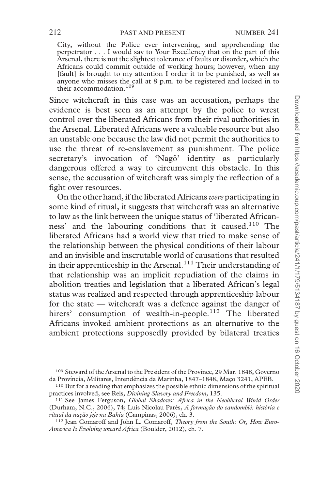City, without the Police ever intervening, and apprehending the perpetrator . . . I would say to Your Excellency that on the part of this Arsenal, there is not the slightest tolerance of faults or disorder, which the Africans could commit outside of working hours; however, when any [fault] is brought to my attention I order it to be punished, as well as anyone who misses the call at 8 p.m. to be registered and locked in to their accommodation.<sup>109</sup>

Since witchcraft in this case was an accusation, perhaps the evidence is best seen as an attempt by the police to wrest control over the liberated Africans from their rival authorities in the Arsenal. Liberated Africans were a valuable resource but also an unstable one because the law did not permit the authorities to use the threat of re-enslavement as punishment. The police secretary's invocation of 'Nagô' identity as particularly dangerous offered a way to circumvent this obstacle. In this sense, the accusation of witchcraft was simply the reflection of a fight over resources.

On the other hand, if the liberated Africans were participating in some kind of ritual, it suggests that witchcraft was an alternative to law as the link between the unique status of 'liberated Africanness' and the labouring conditions that it caused.<sup>110</sup> The liberated Africans had a world view that tried to make sense of the relationship between the physical conditions of their labour and an invisible and inscrutable world of causations that resulted in their apprenticeship in the Arsenal.<sup>111</sup> Their understanding of that relationship was an implicit repudiation of the claims in abolition treaties and legislation that a liberated African's legal status was realized and respected through apprenticeship labour for the state — witchcraft was a defence against the danger of hirers' consumption of wealth-in-people.<sup>112</sup> The liberated Africans invoked ambient protections as an alternative to the ambient protections supposedly provided by bilateral treaties

<sup>109</sup> Steward of the Arsenal to the President of the Province, 29 Mar. 1848, Governo da Província, Militares, Intendência da Marinha, 1847–1848, Maço 3241, APEB.

<sup>110</sup> But for a reading that emphasizes the possible ethnic dimensions of the spiritual practices involved, see Reis, Divining Slavery and Freedom, 135.

<sup>&</sup>lt;sup>111</sup> See James Ferguson, Global Shadows: Africa in the Neoliberal World Order (Durham, N.C., 2006), 74; Luis Nicolau Parés, A formação do candomblé: história e ritual da nação jeje na Bahia (Campinas, 2006), ch. 3.

<sup>&</sup>lt;sup>112</sup> Jean Comaroff and John L. Comaroff, *Theory from the South: Or, How Euro-*America Is Evolving toward Africa (Boulder, 2012), ch. 7.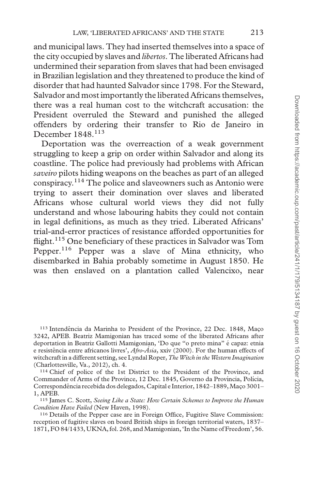and municipal laws. They had inserted themselves into a space of the city occupied by slaves and *libertos*. The liberated Africans had undermined their separation from slaves that had been envisaged in Brazilian legislation and they threatened to produce the kind of disorder that had haunted Salvador since 1798. For the Steward, Salvador and most importantly the liberated Africans themselves, there was a real human cost to the witchcraft accusation: the President overruled the Steward and punished the alleged offenders by ordering their transfer to Rio de Janeiro in December 1848.<sup>113</sup>

Deportation was the overreaction of a weak government struggling to keep a grip on order within Salvador and along its coastline. The police had previously had problems with African saveiro pilots hiding weapons on the beaches as part of an alleged conspiracy.<sup>114</sup> The police and slaveowners such as Antonio were trying to assert their domination over slaves and liberated Africans whose cultural world views they did not fully understand and whose labouring habits they could not contain in legal definitions, as much as they tried. Liberated Africans' trial-and-error practices of resistance afforded opportunities for flight.<sup>115</sup> One beneficiary of these practices in Salvador was Tom Pepper.<sup>116</sup> Pepper was a slave of Mina ethnicity, who disembarked in Bahia probably sometime in August 1850. He was then enslaved on a plantation called Valencixo, near

<sup>113</sup> Intendência da Marinha to President of the Province, 22 Dec. 1848, Maço 3242, APEB. Beatriz Mamigonian has traced some of the liberated Africans after deportation in Beatriz Gallotti Mamigonian, 'Do que "o preto mina" é capaz: etnia e resistência entre africanos livres',  $A fro-A sia$ , xxiv (2000). For the human effects of witchcraft in a different setting, see Lyndal Roper, The Witch in the Western Imagination (Charlottesville, Va., 2012), ch. 4.

114 Chief of police of the 1st District to the President of the Province, and Commander of Arms of the Province, 12 Dec. 1845, Governo da Província, Polícia, Correspondência recebida dos delegados, Capital e Interior, 1842–1889, Maço 3001– 1, APEB.

<sup>115</sup> James C. Scott, Seeing Like a State: How Certain Schemes to Improve the Human Condition Have Failed (New Haven, 1998).

116 Details of the Pepper case are in Foreign Office, Fugitive Slave Commission: reception of fugitive slaves on board British ships in foreign territorial waters, 1837– 1871, FO 84/1433, UKNA, fol. 268, and Mamigonian, 'In the Name of Freedom', 56.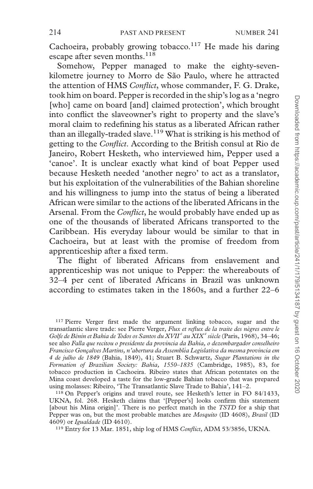Cachoeira, probably growing tobacco.<sup>117</sup> He made his daring escape after seven months.<sup>118</sup>

Somehow, Pepper managed to make the eighty-sevenkilometre journey to Morro de São Paulo, where he attracted the attention of HMS Conflict, whose commander, F. G. Drake, took him on board. Pepper is recorded in the ship's log as a 'negro [who] came on board [and] claimed protection', which brought into conflict the slaveowner's right to property and the slave's moral claim to redefining his status as a liberated African rather than an illegally-traded slave.<sup>119</sup> What is striking is his method of getting to the Conflict. According to the British consul at Rio de Janeiro, Robert Hesketh, who interviewed him, Pepper used a 'canoe'. It is unclear exactly what kind of boat Pepper used because Hesketh needed 'another negro' to act as a translator, but his exploitation of the vulnerabilities of the Bahian shoreline and his willingness to jump into the status of being a liberated African were similar to the actions of the liberated Africans in the Arsenal. From the *Conflict*, he would probably have ended up as one of the thousands of liberated Africans transported to the Caribbean. His everyday labour would be similar to that in Cachoeira, but at least with the promise of freedom from apprenticeship after a fixed term.

The flight of liberated Africans from enslavement and apprenticeship was not unique to Pepper: the whereabouts of 32–4 per cent of liberated Africans in Brazil was unknown according to estimates taken in the 1860s, and a further 22–6

<sup>117</sup> Pierre Verger first made the argument linking tobacco, sugar and the transatlantic slave trade: see Pierre Verger, Flux et reflux de la traite des nègres entre le Golfe de Bénin et Bahia de Todos os Santos du XVII<sup> e</sup> au XIX<sup>e</sup> siècle (Paris, 1968), 34–46; see also Falla que recitou o presidente da provincia da Bahia, o dezembargador conselheiro Francisco Gonçalves Martins, n'abertura da Assembléa Legislativa da mesma provincia em 4 de julho de 1849 (Bahia, 1849), 41; Stuart B. Schwartz, Sugar Plantations in the Formation of Brazilian Society: Bahia, 1550–1835 (Cambridge, 1985), 83, for tobacco production in Cachoeira. Ribeiro states that African potentates on the Mina coast developed a taste for the low-grade Bahian tobacco that was prepared using molasses: Ribeiro, 'The Transatlantic Slave Trade to Bahia', 141–2.

<sup>118</sup> On Pepper's origins and travel route, see Hesketh's letter in FO 84/1433, UKNA, fol. 268. Hesketh claims that '[Pepper's] looks confirm this statement [about his Mina origin]'. There is no perfect match in the TSTD for a ship that Pepper was on, but the most probable matches are *Mosquito* (ID 4608), Brasil (ID 4609) or Igualdade (ID 4610).

<sup>119</sup> Entry for 13 Mar. 1851, ship log of HMS Conflict, ADM 53/3856, UKNA.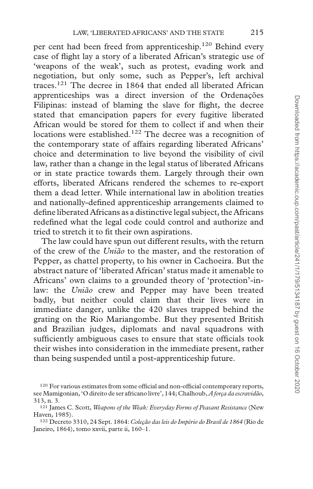per cent had been freed from apprenticeship.<sup>120</sup> Behind every case of flight lay a story of a liberated African's strategic use of 'weapons of the weak', such as protest, evading work and negotiation, but only some, such as Pepper's, left archival traces.<sup>121</sup> The decree in 1864 that ended all liberated African apprenticeships was a direct inversion of the Ordenações Filipinas: instead of blaming the slave for flight, the decree stated that emancipation papers for every fugitive liberated African would be stored for them to collect if and when their locations were established.<sup>122</sup> The decree was a recognition of the contemporary state of affairs regarding liberated Africans' choice and determination to live beyond the visibility of civil law, rather than a change in the legal status of liberated Africans or in state practice towards them. Largely through their own efforts, liberated Africans rendered the schemes to re-export them a dead letter. While international law in abolition treaties and nationally-defined apprenticeship arrangements claimed to define liberated Africans as a distinctive legal subject, the Africans redefined what the legal code could control and authorize and tried to stretch it to fit their own aspirations.

The law could have spun out different results, with the return of the crew of the União to the master, and the restoration of Pepper, as chattel property, to his owner in Cachoeira. But the abstract nature of 'liberated African' status made it amenable to Africans' own claims to a grounded theory of 'protection'-inlaw: the União crew and Pepper may have been treated badly, but neither could claim that their lives were in immediate danger, unlike the 420 slaves trapped behind the grating on the Rio Mariangombe. But they presented British and Brazilian judges, diplomats and naval squadrons with sufficiently ambiguous cases to ensure that state officials took their wishes into consideration in the immediate present, rather than being suspended until a post-apprenticeship future.

120 For various estimates from some official and non-official contemporary reports, see Mamigonian, 'O direito de ser africano livre', 144; Chalhoub, A força da escravidão, 313, n. 3.

<sup>&</sup>lt;sup>121</sup> James C. Scott, Weapons of the Weak: Everyday Forms of Peasant Resistance (New Haven, 1985).

<sup>122</sup> Decreto 3310, 24 Sept. 1864: Coleção das leis do Império do Brasil de 1864 (Rio de Janeiro, 1864), tomo xxvii, parte ii, 160–1.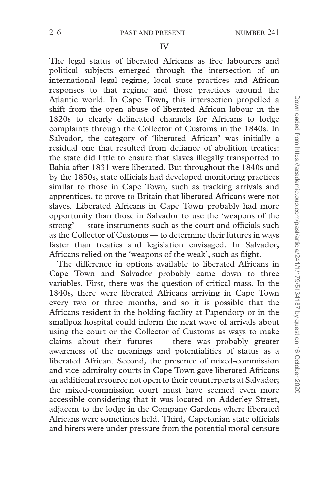The legal status of liberated Africans as free labourers and political subjects emerged through the intersection of an international legal regime, local state practices and African responses to that regime and those practices around the Atlantic world. In Cape Town, this intersection propelled a shift from the open abuse of liberated African labour in the 1820s to clearly delineated channels for Africans to lodge complaints through the Collector of Customs in the 1840s. In Salvador, the category of 'liberated African' was initially a residual one that resulted from defiance of abolition treaties: the state did little to ensure that slaves illegally transported to Bahia after 1831 were liberated. But throughout the 1840s and by the 1850s, state officials had developed monitoring practices similar to those in Cape Town, such as tracking arrivals and apprentices, to prove to Britain that liberated Africans were not slaves. Liberated Africans in Cape Town probably had more opportunity than those in Salvador to use the 'weapons of the strong' — state instruments such as the court and officials such as the Collector of Customs — to determine their futures in ways faster than treaties and legislation envisaged. In Salvador, Africans relied on the 'weapons of the weak', such as flight.

The difference in options available to liberated Africans in Cape Town and Salvador probably came down to three variables. First, there was the question of critical mass. In the 1840s, there were liberated Africans arriving in Cape Town every two or three months, and so it is possible that the Africans resident in the holding facility at Papendorp or in the smallpox hospital could inform the next wave of arrivals about using the court or the Collector of Customs as ways to make claims about their futures — there was probably greater awareness of the meanings and potentialities of status as a liberated African. Second, the presence of mixed-commission and vice-admiralty courts in Cape Town gave liberated Africans an additional resource not open to their counterparts at Salvador; the mixed-commission court must have seemed even more accessible considering that it was located on Adderley Street, adjacent to the lodge in the Company Gardens where liberated Africans were sometimes held. Third, Capetonian state officials and hirers were under pressure from the potential moral censure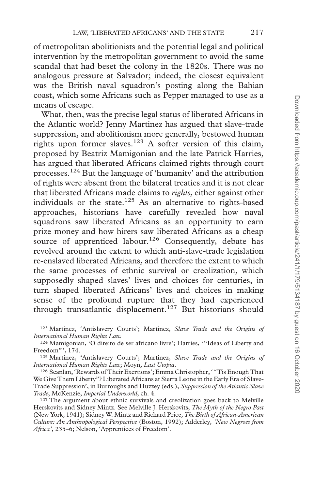of metropolitan abolitionists and the potential legal and political intervention by the metropolitan government to avoid the same scandal that had beset the colony in the 1820s. There was no analogous pressure at Salvador; indeed, the closest equivalent was the British naval squadron's posting along the Bahian coast, which some Africans such as Pepper managed to use as a means of escape.

What, then, was the precise legal status of liberated Africans in the Atlantic world? Jenny Martinez has argued that slave-trade suppression, and abolitionism more generally, bestowed human rights upon former slaves.<sup>123</sup> A softer version of this claim, proposed by Beatriz Mamigonian and the late Patrick Harries, has argued that liberated Africans claimed rights through court processes.<sup>124</sup> But the language of 'humanity' and the attribution of rights were absent from the bilateral treaties and it is not clear that liberated Africans made claims to *rights*, either against other individuals or the state.<sup>125</sup> As an alternative to rights-based approaches, historians have carefully revealed how naval squadrons saw liberated Africans as an opportunity to earn prize money and how hirers saw liberated Africans as a cheap source of apprenticed labour.<sup>126</sup> Consequently, debate has revolved around the extent to which anti-slave-trade legislation re-enslaved liberated Africans, and therefore the extent to which the same processes of ethnic survival or creolization, which supposedly shaped slaves' lives and choices for centuries, in turn shaped liberated Africans' lives and choices in making sense of the profound rupture that they had experienced through transatlantic displacement.<sup>127</sup> But historians should

123 Martinez, 'Antislavery Courts'; Martinez, Slave Trade and the Origins of International Human Rights Law.

124 Mamigonian, 'O direito de ser africano livre'; Harries, '''Ideas of Liberty and Freedom''', 174.

125 Martinez, 'Antislavery Courts'; Martinez, Slave Trade and the Origins of International Human Rights Law; Moyn, Last Utopia.

126 Scanlan, 'Rewards of Their Exertions'; Emma Christopher, '''Tis Enough That We Give Them Liberty''? Liberated Africans at Sierra Leone in the Early Era of Slave-Trade Suppression', in Burroughs and Huzzey (eds.), Suppression of the Atlantic Slave Trade; McKenzie, Imperial Underworld, ch. 4.

<sup>127</sup> The argument about ethnic survivals and creolization goes back to Melville Herskovits and Sidney Mintz. See Melville J. Herskovits, The Myth of the Negro Past (New York, 1941); Sidney W. Mintz and Richard Price, The Birth of African-American Culture: An Anthropological Perspective (Boston, 1992); Adderley, 'New Negroes from Africa', 235–6; Nelson, 'Apprentices of Freedom'.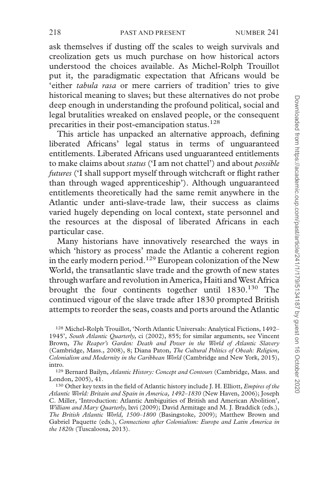ask themselves if dusting off the scales to weigh survivals and creolization gets us much purchase on how historical actors understood the choices available. As Michel-Rolph Trouillot put it, the paradigmatic expectation that Africans would be 'either tabula rasa or mere carriers of tradition' tries to give historical meaning to slaves; but these alternatives do not probe deep enough in understanding the profound political, social and legal brutalities wreaked on enslaved people, or the consequent precarities in their post-emancipation status.<sup>128</sup>

This article has unpacked an alternative approach, defining liberated Africans' legal status in terms of unguaranteed entitlements. Liberated Africans used unguaranteed entitlements to make claims about status ('I am not chattel') and about possible futures ('I shall support myself through witchcraft or flight rather than through waged apprenticeship'). Although unguaranteed entitlements theoretically had the same remit anywhere in the Atlantic under anti-slave-trade law, their success as claims varied hugely depending on local context, state personnel and the resources at the disposal of liberated Africans in each particular case.

Many historians have innovatively researched the ways in which 'history as process' made the Atlantic a coherent region in the early modern period.<sup>129</sup> European colonization of the New World, the transatlantic slave trade and the growth of new states through warfare and revolution in America, Haiti and West Africa brought the four continents together until  $1830^{130}$  The continued vigour of the slave trade after 1830 prompted British attempts to reorder the seas, coasts and ports around the Atlantic

128 Michel-Rolph Trouillot, 'North Atlantic Universals: Analytical Fictions, 1492– 1945', South Atlantic Quarterly, ci (2002), 855; for similar arguments, see Vincent Brown, The Reaper's Garden: Death and Power in the World of Atlantic Slavery (Cambridge, Mass., 2008), 8; Diana Paton, The Cultural Politics of Obeah: Religion, Colonialism and Modernity in the Caribbean World (Cambridge and New York, 2015), intro.

<sup>129</sup> Bernard Bailyn, Atlantic History: Concept and Contours (Cambridge, Mass. and London, 2005), 41.

<sup>130</sup> Other key texts in the field of Atlantic history include J. H. Elliott, *Empires of the* Atlantic World: Britain and Spain in America, 1492–1830 (New Haven, 2006); Joseph C. Miller, 'Introduction: Atlantic Ambiguities of British and American Abolition', William and Mary Quarterly, lxvi (2009); David Armitage and M. J. Braddick (eds.), The British Atlantic World, 1500–1800 (Basingstoke, 2009); Matthew Brown and Gabriel Paquette (eds.), Connections after Colonialism: Europe and Latin America in the 1820s (Tuscaloosa, 2013).